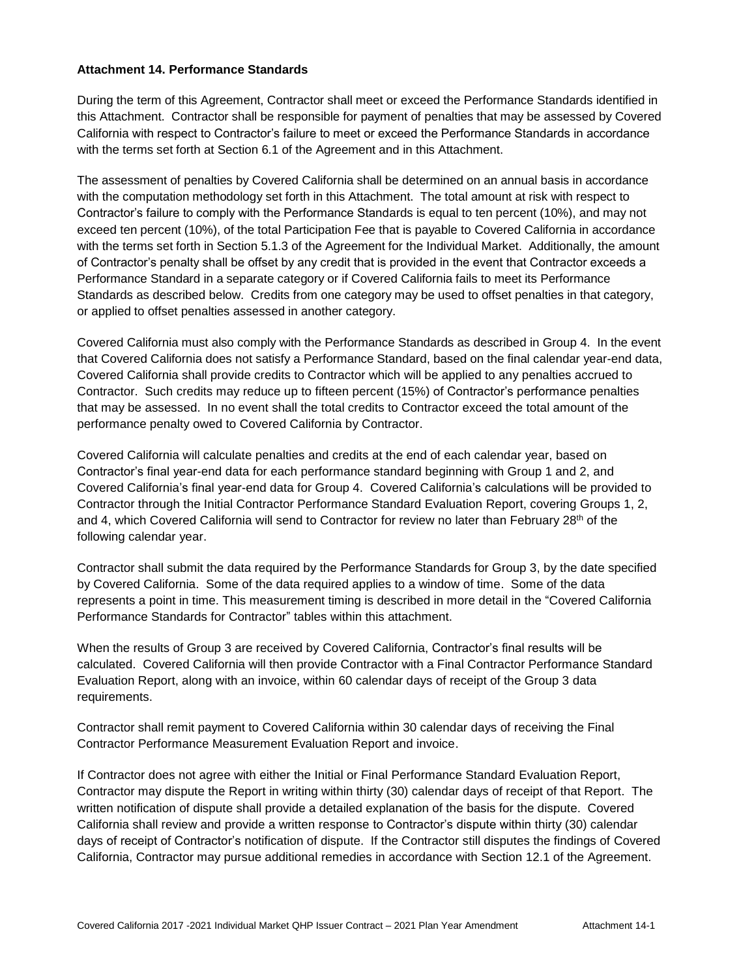### **Attachment 14. Performance Standards**

During the term of this Agreement, Contractor shall meet or exceed the Performance Standards identified in this Attachment. Contractor shall be responsible for payment of penalties that may be assessed by Covered California with respect to Contractor's failure to meet or exceed the Performance Standards in accordance with the terms set forth at Section 6.1 of the Agreement and in this Attachment.

The assessment of penalties by Covered California shall be determined on an annual basis in accordance with the computation methodology set forth in this Attachment. The total amount at risk with respect to Contractor's failure to comply with the Performance Standards is equal to ten percent (10%), and may not exceed ten percent (10%), of the total Participation Fee that is payable to Covered California in accordance with the terms set forth in Section 5.1.3 of the Agreement for the Individual Market. Additionally, the amount of Contractor's penalty shall be offset by any credit that is provided in the event that Contractor exceeds a Performance Standard in a separate category or if Covered California fails to meet its Performance Standards as described below. Credits from one category may be used to offset penalties in that category, or applied to offset penalties assessed in another category.

Covered California must also comply with the Performance Standards as described in Group 4. In the event that Covered California does not satisfy a Performance Standard, based on the final calendar year-end data, Covered California shall provide credits to Contractor which will be applied to any penalties accrued to Contractor. Such credits may reduce up to fifteen percent (15%) of Contractor's performance penalties that may be assessed. In no event shall the total credits to Contractor exceed the total amount of the performance penalty owed to Covered California by Contractor.

Covered California will calculate penalties and credits at the end of each calendar year, based on Contractor's final year-end data for each performance standard beginning with Group 1 and 2, and Covered California's final year-end data for Group 4. Covered California's calculations will be provided to Contractor through the Initial Contractor Performance Standard Evaluation Report, covering Groups 1, 2, and 4, which Covered California will send to Contractor for review no later than February  $28<sup>th</sup>$  of the following calendar year.

Contractor shall submit the data required by the Performance Standards for Group 3, by the date specified by Covered California. Some of the data required applies to a window of time. Some of the data represents a point in time. This measurement timing is described in more detail in the "Covered California Performance Standards for Contractor" tables within this attachment.

When the results of Group 3 are received by Covered California, Contractor's final results will be calculated. Covered California will then provide Contractor with a Final Contractor Performance Standard Evaluation Report, along with an invoice, within 60 calendar days of receipt of the Group 3 data requirements.

Contractor shall remit payment to Covered California within 30 calendar days of receiving the Final Contractor Performance Measurement Evaluation Report and invoice.

If Contractor does not agree with either the Initial or Final Performance Standard Evaluation Report, Contractor may dispute the Report in writing within thirty (30) calendar days of receipt of that Report. The written notification of dispute shall provide a detailed explanation of the basis for the dispute. Covered California shall review and provide a written response to Contractor's dispute within thirty (30) calendar days of receipt of Contractor's notification of dispute. If the Contractor still disputes the findings of Covered California, Contractor may pursue additional remedies in accordance with Section 12.1 of the Agreement.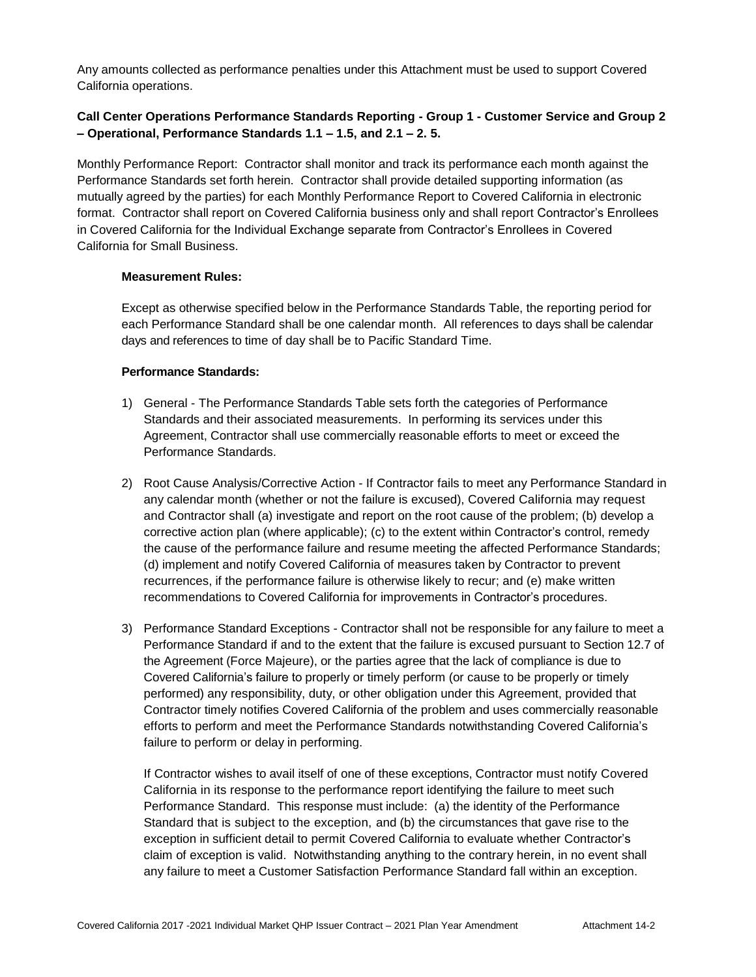Any amounts collected as performance penalties under this Attachment must be used to support Covered California operations.

### **Call Center Operations Performance Standards Reporting - Group 1 - Customer Service and Group 2 – Operational, Performance Standards 1.1 – 1.5, and 2.1 – 2. 5.**

Monthly Performance Report: Contractor shall monitor and track its performance each month against the Performance Standards set forth herein. Contractor shall provide detailed supporting information (as mutually agreed by the parties) for each Monthly Performance Report to Covered California in electronic format. Contractor shall report on Covered California business only and shall report Contractor's Enrollees in Covered California for the Individual Exchange separate from Contractor's Enrollees in Covered California for Small Business.

#### **Measurement Rules:**

Except as otherwise specified below in the Performance Standards Table, the reporting period for each Performance Standard shall be one calendar month. All references to days shall be calendar days and references to time of day shall be to Pacific Standard Time.

#### **Performance Standards:**

- 1) General The Performance Standards Table sets forth the categories of Performance Standards and their associated measurements. In performing its services under this Agreement, Contractor shall use commercially reasonable efforts to meet or exceed the Performance Standards.
- 2) Root Cause Analysis/Corrective Action If Contractor fails to meet any Performance Standard in any calendar month (whether or not the failure is excused), Covered California may request and Contractor shall (a) investigate and report on the root cause of the problem; (b) develop a corrective action plan (where applicable); (c) to the extent within Contractor's control, remedy the cause of the performance failure and resume meeting the affected Performance Standards; (d) implement and notify Covered California of measures taken by Contractor to prevent recurrences, if the performance failure is otherwise likely to recur; and (e) make written recommendations to Covered California for improvements in Contractor's procedures.
- 3) Performance Standard Exceptions Contractor shall not be responsible for any failure to meet a Performance Standard if and to the extent that the failure is excused pursuant to Section 12.7 of the Agreement (Force Majeure), or the parties agree that the lack of compliance is due to Covered California's failure to properly or timely perform (or cause to be properly or timely performed) any responsibility, duty, or other obligation under this Agreement, provided that Contractor timely notifies Covered California of the problem and uses commercially reasonable efforts to perform and meet the Performance Standards notwithstanding Covered California's failure to perform or delay in performing.

If Contractor wishes to avail itself of one of these exceptions, Contractor must notify Covered California in its response to the performance report identifying the failure to meet such Performance Standard. This response must include: (a) the identity of the Performance Standard that is subject to the exception, and (b) the circumstances that gave rise to the exception in sufficient detail to permit Covered California to evaluate whether Contractor's claim of exception is valid. Notwithstanding anything to the contrary herein, in no event shall any failure to meet a Customer Satisfaction Performance Standard fall within an exception.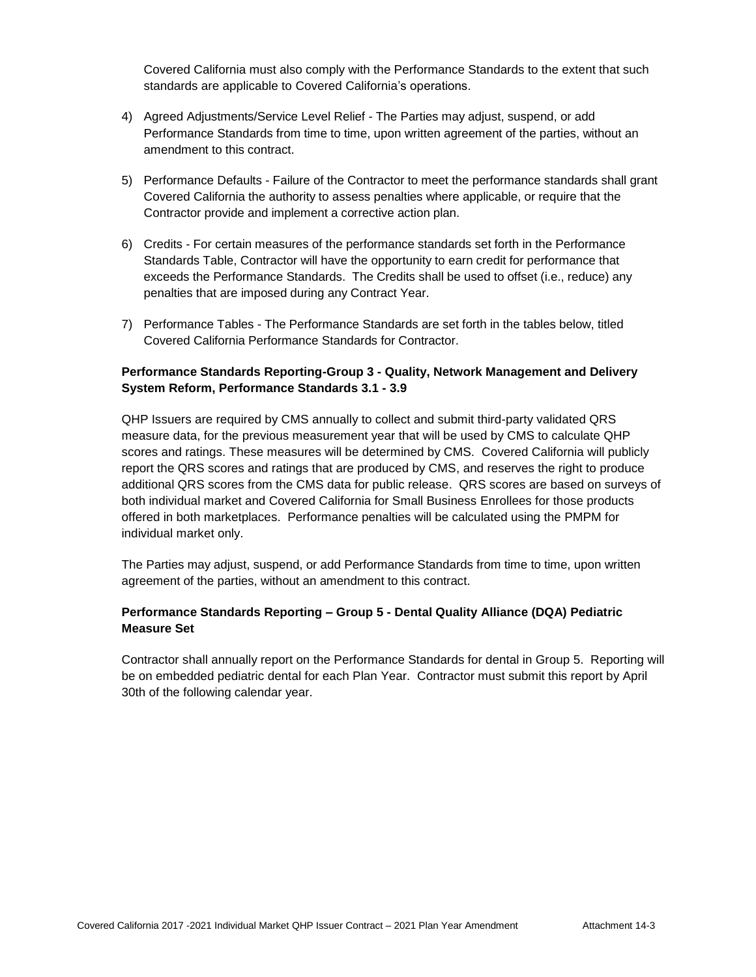Covered California must also comply with the Performance Standards to the extent that such standards are applicable to Covered California's operations.

- 4) Agreed Adjustments/Service Level Relief The Parties may adjust, suspend, or add Performance Standards from time to time, upon written agreement of the parties, without an amendment to this contract.
- 5) Performance Defaults Failure of the Contractor to meet the performance standards shall grant Covered California the authority to assess penalties where applicable, or require that the Contractor provide and implement a corrective action plan.
- 6) Credits For certain measures of the performance standards set forth in the Performance Standards Table, Contractor will have the opportunity to earn credit for performance that exceeds the Performance Standards. The Credits shall be used to offset (i.e., reduce) any penalties that are imposed during any Contract Year.
- 7) Performance Tables The Performance Standards are set forth in the tables below, titled Covered California Performance Standards for Contractor.

### **Performance Standards Reporting-Group 3 - Quality, Network Management and Delivery System Reform, Performance Standards 3.1 - 3.9**

QHP Issuers are required by CMS annually to collect and submit third-party validated QRS measure data, for the previous measurement year that will be used by CMS to calculate QHP scores and ratings. These measures will be determined by CMS. Covered California will publicly report the QRS scores and ratings that are produced by CMS, and reserves the right to produce additional QRS scores from the CMS data for public release. QRS scores are based on surveys of both individual market and Covered California for Small Business Enrollees for those products offered in both marketplaces. Performance penalties will be calculated using the PMPM for individual market only.

The Parties may adjust, suspend, or add Performance Standards from time to time, upon written agreement of the parties, without an amendment to this contract.

### **Performance Standards Reporting – Group 5 - Dental Quality Alliance (DQA) Pediatric Measure Set**

Contractor shall annually report on the Performance Standards for dental in Group 5. Reporting will be on embedded pediatric dental for each Plan Year. Contractor must submit this report by April 30th of the following calendar year.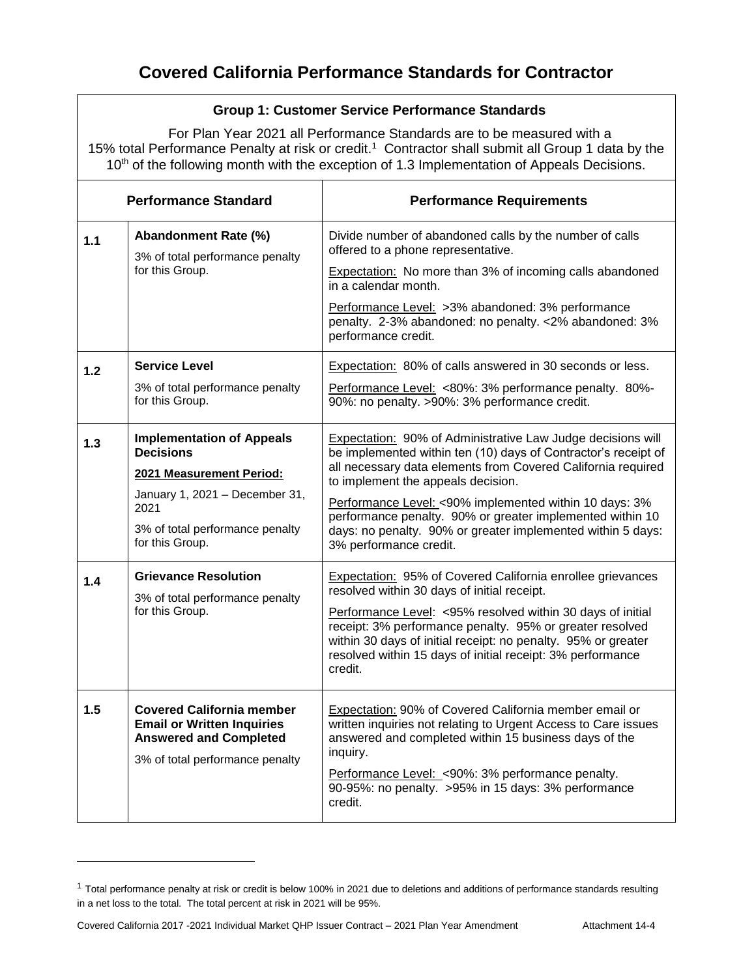### **Group 1: Customer Service Performance Standards**

For Plan Year 2021 all Performance Standards are to be measured with a 15% total Performance Penalty at risk or credit.<sup>1</sup> Contractor shall submit all Group 1 data by the 10<sup>th</sup> of the following month with the exception of 1.3 Implementation of Appeals Decisions.

| <b>Performance Standard</b> |                                                                                                                                           | <b>Performance Requirements</b>                                                                                                                                                                                                                                  |  |  |
|-----------------------------|-------------------------------------------------------------------------------------------------------------------------------------------|------------------------------------------------------------------------------------------------------------------------------------------------------------------------------------------------------------------------------------------------------------------|--|--|
| 1.1                         | Abandonment Rate (%)<br>3% of total performance penalty                                                                                   | Divide number of abandoned calls by the number of calls<br>offered to a phone representative.                                                                                                                                                                    |  |  |
|                             | for this Group.                                                                                                                           | Expectation: No more than 3% of incoming calls abandoned<br>in a calendar month.                                                                                                                                                                                 |  |  |
|                             |                                                                                                                                           | Performance Level: >3% abandoned: 3% performance<br>penalty. 2-3% abandoned: no penalty. <2% abandoned: 3%<br>performance credit.                                                                                                                                |  |  |
| 1.2                         | <b>Service Level</b>                                                                                                                      | Expectation: 80% of calls answered in 30 seconds or less.                                                                                                                                                                                                        |  |  |
|                             | 3% of total performance penalty<br>for this Group.                                                                                        | Performance Level: <80%: 3% performance penalty. 80%-<br>90%: no penalty. >90%: 3% performance credit.                                                                                                                                                           |  |  |
| $1.3$                       | <b>Implementation of Appeals</b><br><b>Decisions</b>                                                                                      | Expectation: 90% of Administrative Law Judge decisions will<br>be implemented within ten (10) days of Contractor's receipt of                                                                                                                                    |  |  |
|                             | 2021 Measurement Period:                                                                                                                  | all necessary data elements from Covered California required<br>to implement the appeals decision.                                                                                                                                                               |  |  |
|                             | January 1, 2021 - December 31,<br>2021                                                                                                    | Performance Level: < 90% implemented within 10 days: 3%                                                                                                                                                                                                          |  |  |
|                             | 3% of total performance penalty<br>for this Group.                                                                                        | performance penalty. 90% or greater implemented within 10<br>days: no penalty. 90% or greater implemented within 5 days:<br>3% performance credit.                                                                                                               |  |  |
| 1.4                         | <b>Grievance Resolution</b><br>3% of total performance penalty                                                                            | Expectation: 95% of Covered California enrollee grievances<br>resolved within 30 days of initial receipt.                                                                                                                                                        |  |  |
|                             | for this Group.                                                                                                                           | Performance Level: <95% resolved within 30 days of initial<br>receipt: 3% performance penalty. 95% or greater resolved<br>within 30 days of initial receipt: no penalty. 95% or greater<br>resolved within 15 days of initial receipt: 3% performance<br>credit. |  |  |
| 1.5                         | <b>Covered California member</b><br><b>Email or Written Inquiries</b><br><b>Answered and Completed</b><br>3% of total performance penalty | <b>Expectation: 90% of Covered California member email or</b><br>written inquiries not relating to Urgent Access to Care issues<br>answered and completed within 15 business days of the<br>inquiry.<br>Performance Level: < 90%: 3% performance penalty.        |  |  |
|                             |                                                                                                                                           | 90-95%: no penalty. >95% in 15 days: 3% performance<br>credit.                                                                                                                                                                                                   |  |  |

<sup>&</sup>lt;sup>1</sup> Total performance penalty at risk or credit is below 100% in 2021 due to deletions and additions of performance standards resulting in a net loss to the total. The total percent at risk in 2021 will be 95%.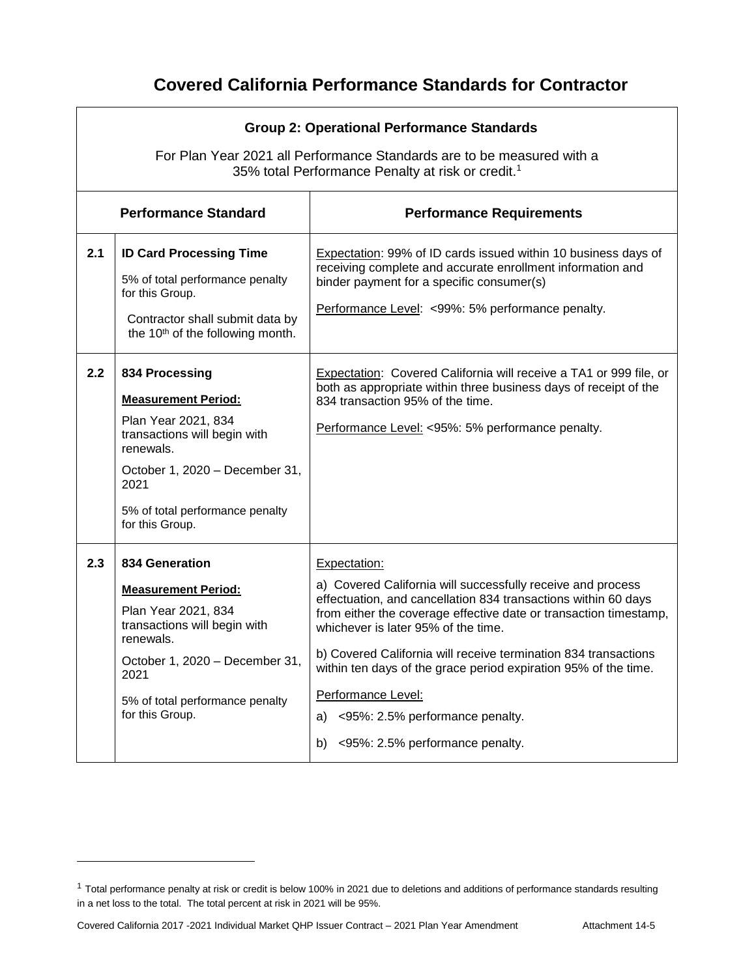|                             | <b>Group 2: Operational Performance Standards</b><br>For Plan Year 2021 all Performance Standards are to be measured with a                                                                                      |                                                                                                                                                                                                                                                                                                                                                                                                                                                                                                         |  |  |
|-----------------------------|------------------------------------------------------------------------------------------------------------------------------------------------------------------------------------------------------------------|---------------------------------------------------------------------------------------------------------------------------------------------------------------------------------------------------------------------------------------------------------------------------------------------------------------------------------------------------------------------------------------------------------------------------------------------------------------------------------------------------------|--|--|
|                             |                                                                                                                                                                                                                  | 35% total Performance Penalty at risk or credit. <sup>1</sup>                                                                                                                                                                                                                                                                                                                                                                                                                                           |  |  |
| <b>Performance Standard</b> |                                                                                                                                                                                                                  | <b>Performance Requirements</b>                                                                                                                                                                                                                                                                                                                                                                                                                                                                         |  |  |
| 2.1                         | <b>ID Card Processing Time</b><br>5% of total performance penalty<br>for this Group.<br>Contractor shall submit data by<br>the 10 <sup>th</sup> of the following month.                                          | <b>Expectation: 99% of ID cards issued within 10 business days of</b><br>receiving complete and accurate enrollment information and<br>binder payment for a specific consumer(s)<br>Performance Level: <99%: 5% performance penalty.                                                                                                                                                                                                                                                                    |  |  |
| 2.2                         | 834 Processing<br><b>Measurement Period:</b><br>Plan Year 2021, 834<br>transactions will begin with<br>renewals.<br>October 1, 2020 - December 31,<br>2021<br>5% of total performance penalty<br>for this Group. | Expectation: Covered California will receive a TA1 or 999 file, or<br>both as appropriate within three business days of receipt of the<br>834 transaction 95% of the time.<br>Performance Level: <95%: 5% performance penalty.                                                                                                                                                                                                                                                                          |  |  |
| 2.3                         | 834 Generation<br><b>Measurement Period:</b><br>Plan Year 2021, 834<br>transactions will begin with<br>renewals.<br>October 1, 2020 - December 31.<br>2021<br>5% of total performance penalty<br>for this Group. | Expectation:<br>a) Covered California will successfully receive and process<br>effectuation, and cancellation 834 transactions within 60 days<br>from either the coverage effective date or transaction timestamp,<br>whichever is later 95% of the time.<br>b) Covered California will receive termination 834 transactions<br>within ten days of the grace period expiration 95% of the time.<br>Performance Level:<br><95%: 2.5% performance penalty.<br>a)<br><95%: 2.5% performance penalty.<br>b) |  |  |

<sup>&</sup>lt;sup>1</sup> Total performance penalty at risk or credit is below 100% in 2021 due to deletions and additions of performance standards resulting in a net loss to the total. The total percent at risk in 2021 will be 95%.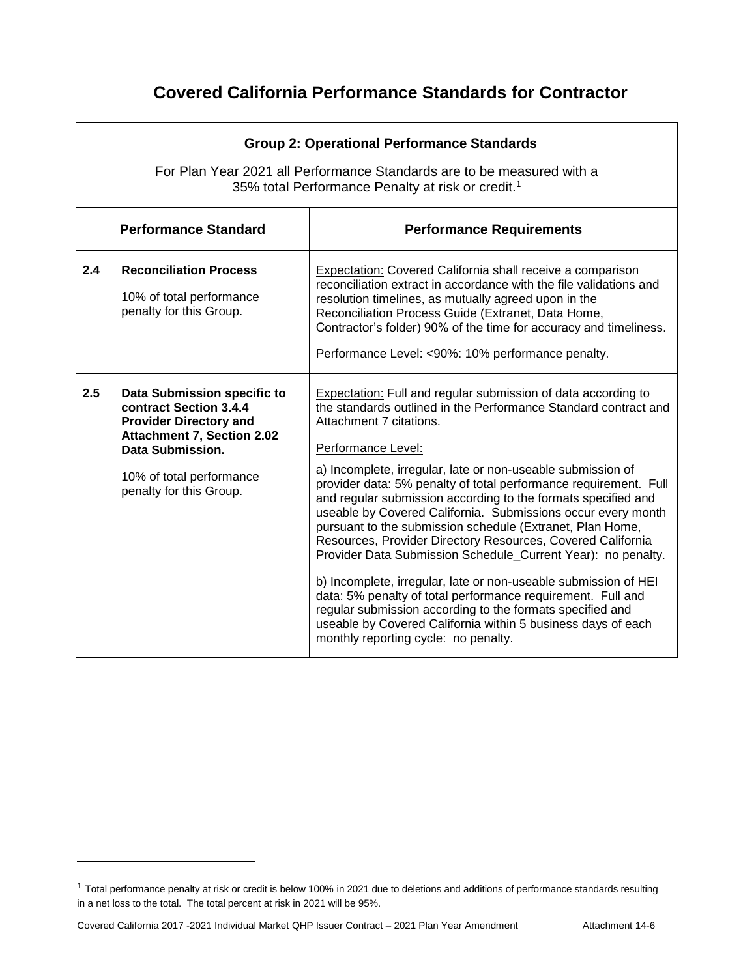|     | <b>Group 2: Operational Performance Standards</b><br>For Plan Year 2021 all Performance Standards are to be measured with a<br>35% total Performance Penalty at risk or credit. <sup>1</sup> |                                                                                                                                                                                                                                                                                                                                                                                                                                                              |  |  |  |
|-----|----------------------------------------------------------------------------------------------------------------------------------------------------------------------------------------------|--------------------------------------------------------------------------------------------------------------------------------------------------------------------------------------------------------------------------------------------------------------------------------------------------------------------------------------------------------------------------------------------------------------------------------------------------------------|--|--|--|
|     | <b>Performance Standard</b>                                                                                                                                                                  | <b>Performance Requirements</b>                                                                                                                                                                                                                                                                                                                                                                                                                              |  |  |  |
| 2.4 | <b>Reconciliation Process</b><br>10% of total performance<br>penalty for this Group.                                                                                                         | Expectation: Covered California shall receive a comparison<br>reconciliation extract in accordance with the file validations and<br>resolution timelines, as mutually agreed upon in the<br>Reconciliation Process Guide (Extranet, Data Home,<br>Contractor's folder) 90% of the time for accuracy and timeliness.<br>Performance Level: <90%: 10% performance penalty.                                                                                     |  |  |  |
| 2.5 | Data Submission specific to<br>contract Section 3.4.4<br><b>Provider Directory and</b><br><b>Attachment 7, Section 2.02</b><br>Data Submission.                                              | <b>Expectation:</b> Full and regular submission of data according to<br>the standards outlined in the Performance Standard contract and<br>Attachment 7 citations.<br>Performance Level:                                                                                                                                                                                                                                                                     |  |  |  |
|     | 10% of total performance<br>penalty for this Group.                                                                                                                                          | a) Incomplete, irregular, late or non-useable submission of<br>provider data: 5% penalty of total performance requirement. Full<br>and regular submission according to the formats specified and<br>useable by Covered California. Submissions occur every month<br>pursuant to the submission schedule (Extranet, Plan Home,<br>Resources, Provider Directory Resources, Covered California<br>Provider Data Submission Schedule_Current Year): no penalty. |  |  |  |
|     |                                                                                                                                                                                              | b) Incomplete, irregular, late or non-useable submission of HEI<br>data: 5% penalty of total performance requirement. Full and<br>regular submission according to the formats specified and<br>useable by Covered California within 5 business days of each<br>monthly reporting cycle: no penalty.                                                                                                                                                          |  |  |  |

<sup>&</sup>lt;sup>1</sup> Total performance penalty at risk or credit is below 100% in 2021 due to deletions and additions of performance standards resulting in a net loss to the total. The total percent at risk in 2021 will be 95%.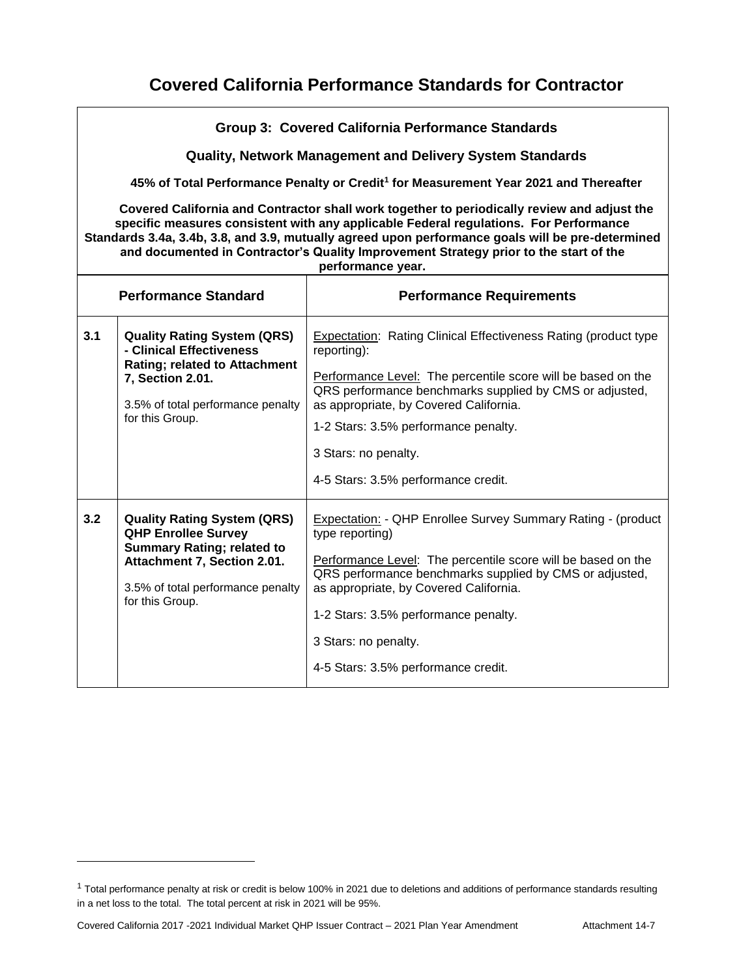|                             | Group 3: Covered California Performance Standards                                                                                                                                                                                                                                                                                                                                                       |                                                                                                                                                                                                                                                                                                                                                                   |  |  |
|-----------------------------|---------------------------------------------------------------------------------------------------------------------------------------------------------------------------------------------------------------------------------------------------------------------------------------------------------------------------------------------------------------------------------------------------------|-------------------------------------------------------------------------------------------------------------------------------------------------------------------------------------------------------------------------------------------------------------------------------------------------------------------------------------------------------------------|--|--|
|                             |                                                                                                                                                                                                                                                                                                                                                                                                         | <b>Quality, Network Management and Delivery System Standards</b>                                                                                                                                                                                                                                                                                                  |  |  |
|                             |                                                                                                                                                                                                                                                                                                                                                                                                         | 45% of Total Performance Penalty or Credit <sup>1</sup> for Measurement Year 2021 and Thereafter                                                                                                                                                                                                                                                                  |  |  |
|                             | Covered California and Contractor shall work together to periodically review and adjust the<br>specific measures consistent with any applicable Federal regulations. For Performance<br>Standards 3.4a, 3.4b, 3.8, and 3.9, mutually agreed upon performance goals will be pre-determined<br>and documented in Contractor's Quality Improvement Strategy prior to the start of the<br>performance year. |                                                                                                                                                                                                                                                                                                                                                                   |  |  |
| <b>Performance Standard</b> |                                                                                                                                                                                                                                                                                                                                                                                                         | <b>Performance Requirements</b>                                                                                                                                                                                                                                                                                                                                   |  |  |
| 3.1                         | <b>Quality Rating System (QRS)</b><br>- Clinical Effectiveness<br><b>Rating; related to Attachment</b><br>7, Section 2.01.<br>3.5% of total performance penalty<br>for this Group.                                                                                                                                                                                                                      | <b>Expectation: Rating Clinical Effectiveness Rating (product type</b><br>reporting):<br>Performance Level: The percentile score will be based on the<br>QRS performance benchmarks supplied by CMS or adjusted,<br>as appropriate, by Covered California.<br>1-2 Stars: 3.5% performance penalty.<br>3 Stars: no penalty.<br>4-5 Stars: 3.5% performance credit. |  |  |
| 3.2                         | <b>Quality Rating System (QRS)</b><br><b>QHP Enrollee Survey</b><br><b>Summary Rating; related to</b><br>Attachment 7, Section 2.01.<br>3.5% of total performance penalty<br>for this Group.                                                                                                                                                                                                            | Expectation: - QHP Enrollee Survey Summary Rating - (product<br>type reporting)<br>Performance Level: The percentile score will be based on the<br>QRS performance benchmarks supplied by CMS or adjusted,<br>as appropriate, by Covered California.<br>1-2 Stars: 3.5% performance penalty.<br>3 Stars: no penalty.<br>4-5 Stars: 3.5% performance credit.       |  |  |

<sup>&</sup>lt;sup>1</sup> Total performance penalty at risk or credit is below 100% in 2021 due to deletions and additions of performance standards resulting in a net loss to the total. The total percent at risk in 2021 will be 95%.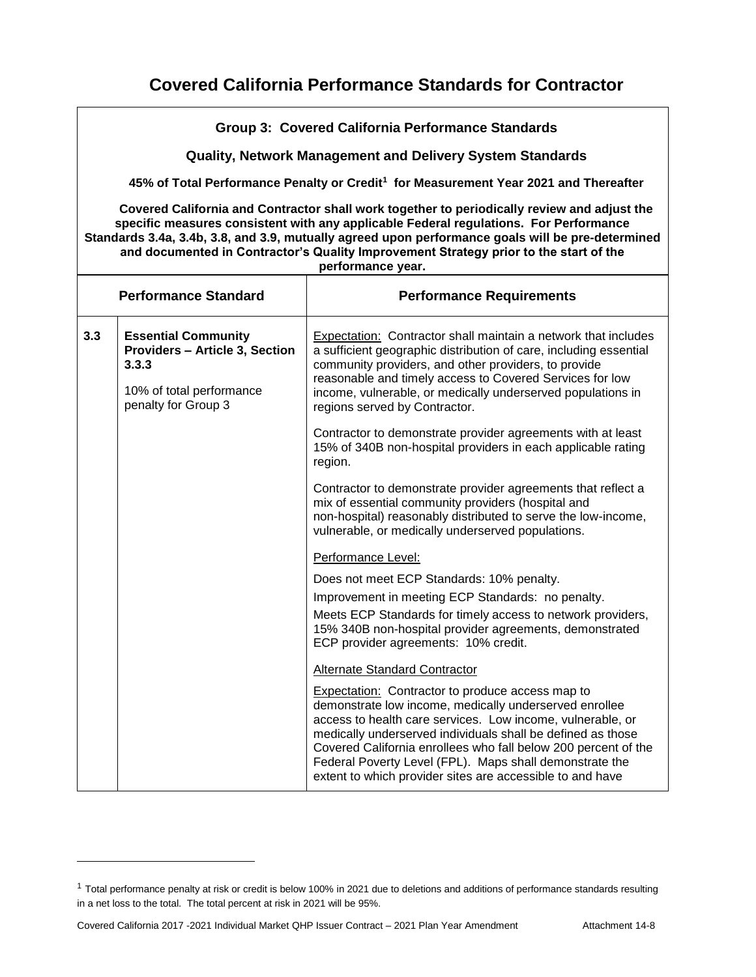|     | Group 3: Covered California Performance Standards                                                                                                                                                                                                                                                                                                                                                       |                                                                                                                                                                                                                                                                                                                                                                                                                                          |  |  |
|-----|---------------------------------------------------------------------------------------------------------------------------------------------------------------------------------------------------------------------------------------------------------------------------------------------------------------------------------------------------------------------------------------------------------|------------------------------------------------------------------------------------------------------------------------------------------------------------------------------------------------------------------------------------------------------------------------------------------------------------------------------------------------------------------------------------------------------------------------------------------|--|--|
|     | <b>Quality, Network Management and Delivery System Standards</b>                                                                                                                                                                                                                                                                                                                                        |                                                                                                                                                                                                                                                                                                                                                                                                                                          |  |  |
|     |                                                                                                                                                                                                                                                                                                                                                                                                         | 45% of Total Performance Penalty or Credit <sup>1</sup> for Measurement Year 2021 and Thereafter                                                                                                                                                                                                                                                                                                                                         |  |  |
|     | Covered California and Contractor shall work together to periodically review and adjust the<br>specific measures consistent with any applicable Federal regulations. For Performance<br>Standards 3.4a, 3.4b, 3.8, and 3.9, mutually agreed upon performance goals will be pre-determined<br>and documented in Contractor's Quality Improvement Strategy prior to the start of the<br>performance year. |                                                                                                                                                                                                                                                                                                                                                                                                                                          |  |  |
|     | <b>Performance Standard</b><br><b>Performance Requirements</b>                                                                                                                                                                                                                                                                                                                                          |                                                                                                                                                                                                                                                                                                                                                                                                                                          |  |  |
| 3.3 | <b>Essential Community</b><br><b>Providers - Article 3, Section</b><br>3.3.3<br>10% of total performance<br>penalty for Group 3                                                                                                                                                                                                                                                                         | Expectation: Contractor shall maintain a network that includes<br>a sufficient geographic distribution of care, including essential<br>community providers, and other providers, to provide<br>reasonable and timely access to Covered Services for low<br>income, vulnerable, or medically underserved populations in<br>regions served by Contractor.                                                                                  |  |  |
|     |                                                                                                                                                                                                                                                                                                                                                                                                         | Contractor to demonstrate provider agreements with at least<br>15% of 340B non-hospital providers in each applicable rating<br>region.                                                                                                                                                                                                                                                                                                   |  |  |
|     |                                                                                                                                                                                                                                                                                                                                                                                                         | Contractor to demonstrate provider agreements that reflect a<br>mix of essential community providers (hospital and<br>non-hospital) reasonably distributed to serve the low-income,<br>vulnerable, or medically underserved populations.                                                                                                                                                                                                 |  |  |
|     |                                                                                                                                                                                                                                                                                                                                                                                                         | Performance Level:                                                                                                                                                                                                                                                                                                                                                                                                                       |  |  |
|     |                                                                                                                                                                                                                                                                                                                                                                                                         | Does not meet ECP Standards: 10% penalty.                                                                                                                                                                                                                                                                                                                                                                                                |  |  |
|     |                                                                                                                                                                                                                                                                                                                                                                                                         | Improvement in meeting ECP Standards: no penalty.                                                                                                                                                                                                                                                                                                                                                                                        |  |  |
|     |                                                                                                                                                                                                                                                                                                                                                                                                         | Meets ECP Standards for timely access to network providers,<br>15% 340B non-hospital provider agreements, demonstrated<br>ECP provider agreements: 10% credit.                                                                                                                                                                                                                                                                           |  |  |
|     |                                                                                                                                                                                                                                                                                                                                                                                                         | Alternate Standard Contractor                                                                                                                                                                                                                                                                                                                                                                                                            |  |  |
|     |                                                                                                                                                                                                                                                                                                                                                                                                         | <b>Expectation:</b> Contractor to produce access map to<br>demonstrate low income, medically underserved enrollee<br>access to health care services. Low income, vulnerable, or<br>medically underserved individuals shall be defined as those<br>Covered California enrollees who fall below 200 percent of the<br>Federal Poverty Level (FPL). Maps shall demonstrate the<br>extent to which provider sites are accessible to and have |  |  |

<sup>&</sup>lt;sup>1</sup> Total performance penalty at risk or credit is below 100% in 2021 due to deletions and additions of performance standards resulting in a net loss to the total. The total percent at risk in 2021 will be 95%.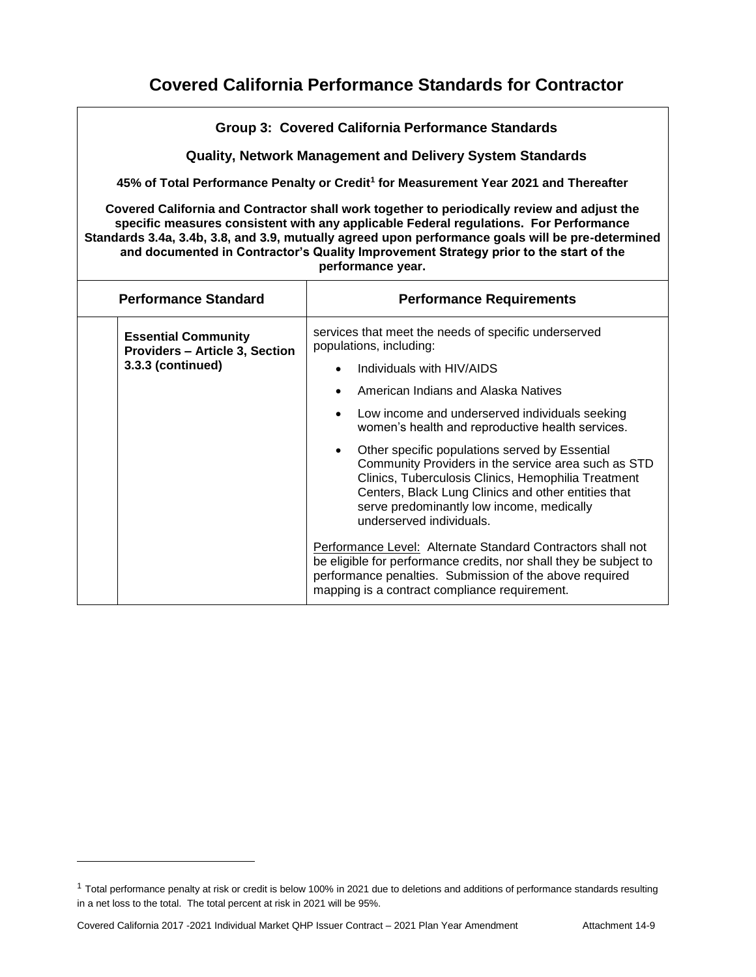|                                                                                                                                                                                                                                                                                                                                                                                                         | <b>Group 3: Covered California Performance Standards</b>                                                                                                                                                                                                                                                                                                                                                                                                                                                                                                                                                                                                        |  |  |  |  |
|---------------------------------------------------------------------------------------------------------------------------------------------------------------------------------------------------------------------------------------------------------------------------------------------------------------------------------------------------------------------------------------------------------|-----------------------------------------------------------------------------------------------------------------------------------------------------------------------------------------------------------------------------------------------------------------------------------------------------------------------------------------------------------------------------------------------------------------------------------------------------------------------------------------------------------------------------------------------------------------------------------------------------------------------------------------------------------------|--|--|--|--|
|                                                                                                                                                                                                                                                                                                                                                                                                         | <b>Quality, Network Management and Delivery System Standards</b>                                                                                                                                                                                                                                                                                                                                                                                                                                                                                                                                                                                                |  |  |  |  |
|                                                                                                                                                                                                                                                                                                                                                                                                         | 45% of Total Performance Penalty or Credit <sup>1</sup> for Measurement Year 2021 and Thereafter                                                                                                                                                                                                                                                                                                                                                                                                                                                                                                                                                                |  |  |  |  |
| Covered California and Contractor shall work together to periodically review and adjust the<br>specific measures consistent with any applicable Federal regulations. For Performance<br>Standards 3.4a, 3.4b, 3.8, and 3.9, mutually agreed upon performance goals will be pre-determined<br>and documented in Contractor's Quality Improvement Strategy prior to the start of the<br>performance year. |                                                                                                                                                                                                                                                                                                                                                                                                                                                                                                                                                                                                                                                                 |  |  |  |  |
| <b>Performance Standard</b><br><b>Performance Requirements</b>                                                                                                                                                                                                                                                                                                                                          |                                                                                                                                                                                                                                                                                                                                                                                                                                                                                                                                                                                                                                                                 |  |  |  |  |
| <b>Essential Community</b><br><b>Providers - Article 3, Section</b><br>3.3.3 (continued)                                                                                                                                                                                                                                                                                                                | services that meet the needs of specific underserved<br>populations, including:<br>Individuals with HIV/AIDS<br>American Indians and Alaska Natives<br>$\bullet$<br>Low income and underserved individuals seeking<br>$\bullet$<br>women's health and reproductive health services.<br>Other specific populations served by Essential<br>$\bullet$<br>Community Providers in the service area such as STD<br>Clinics, Tuberculosis Clinics, Hemophilia Treatment<br>Centers, Black Lung Clinics and other entities that<br>serve predominantly low income, medically<br>underserved individuals.<br>Performance Level: Alternate Standard Contractors shall not |  |  |  |  |
|                                                                                                                                                                                                                                                                                                                                                                                                         | be eligible for performance credits, nor shall they be subject to<br>performance penalties. Submission of the above required<br>mapping is a contract compliance requirement.                                                                                                                                                                                                                                                                                                                                                                                                                                                                                   |  |  |  |  |

<sup>&</sup>lt;sup>1</sup> Total performance penalty at risk or credit is below 100% in 2021 due to deletions and additions of performance standards resulting in a net loss to the total. The total percent at risk in 2021 will be 95%.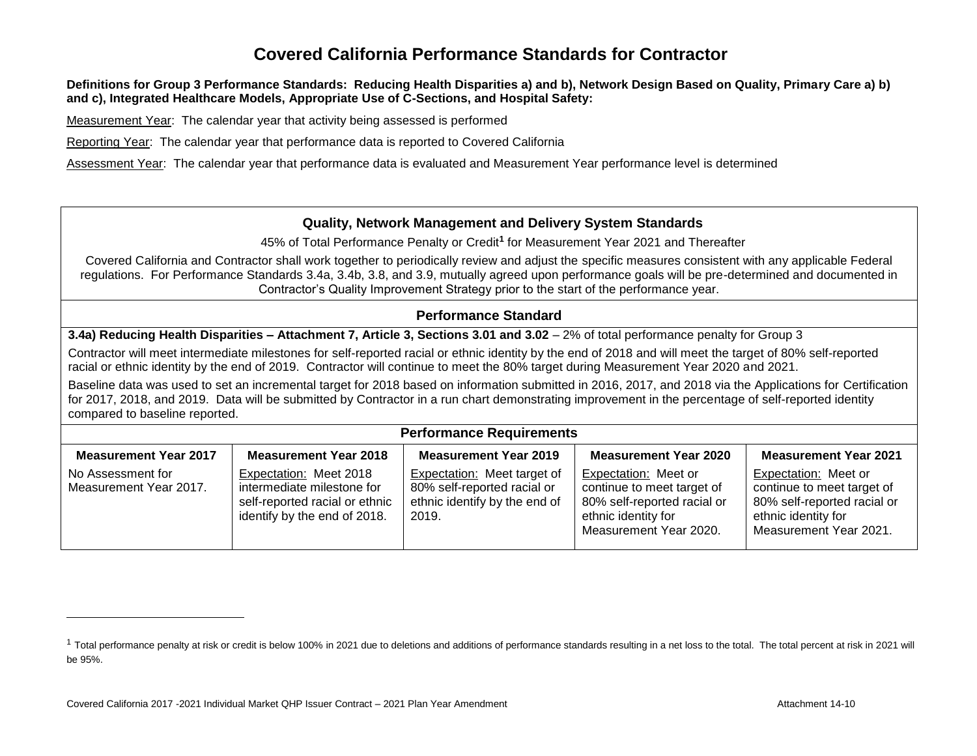#### **Definitions for Group 3 Performance Standards: Reducing Health Disparities a) and b), Network Design Based on Quality, Primary Care a) b) and c), Integrated Healthcare Models, Appropriate Use of C-Sections, and Hospital Safety:**

Measurement Year: The calendar year that activity being assessed is performed

Reporting Year: The calendar year that performance data is reported to Covered California

Assessment Year: The calendar year that performance data is evaluated and Measurement Year performance level is determined

### **Quality, Network Management and Delivery System Standards**

45% of Total Performance Penalty or Credit**<sup>1</sup>** for Measurement Year 2021 and Thereafter

Covered California and Contractor shall work together to periodically review and adjust the specific measures consistent with any applicable Federal regulations. For Performance Standards 3.4a, 3.4b, 3.8, and 3.9, mutually agreed upon performance goals will be pre-determined and documented in Contractor's Quality Improvement Strategy prior to the start of the performance year.

### **Performance Standard**

**3.4a) Reducing Health Disparities – Attachment 7, Article 3, Sections 3.01 and 3.02** – 2% of total performance penalty for Group 3

Contractor will meet intermediate milestones for self-reported racial or ethnic identity by the end of 2018 and will meet the target of 80% self-reported racial or ethnic identity by the end of 2019. Contractor will continue to meet the 80% target during Measurement Year 2020 and 2021.

Baseline data was used to set an incremental target for 2018 based on information submitted in 2016, 2017, and 2018 via the Applications for Certification for 2017, 2018, and 2019. Data will be submitted by Contractor in a run chart demonstrating improvement in the percentage of self-reported identity compared to baseline reported.

#### **Performance Requirements**

| <b>Measurement Year 2017</b>                | <b>Measurement Year 2018</b>                                                                                           | <b>Measurement Year 2019</b>                                                                         | <b>Measurement Year 2020</b>                                                                                                       | <b>Measurement Year 2021</b>                                                                                                       |
|---------------------------------------------|------------------------------------------------------------------------------------------------------------------------|------------------------------------------------------------------------------------------------------|------------------------------------------------------------------------------------------------------------------------------------|------------------------------------------------------------------------------------------------------------------------------------|
| No Assessment for<br>Measurement Year 2017. | Expectation: Meet 2018<br>intermediate milestone for<br>self-reported racial or ethnic<br>identify by the end of 2018. | Expectation: Meet target of<br>80% self-reported racial or<br>ethnic identify by the end of<br>2019. | Expectation: Meet or<br>continue to meet target of<br>80% self-reported racial or<br>ethnic identity for<br>Measurement Year 2020. | Expectation: Meet or<br>continue to meet target of<br>80% self-reported racial or<br>ethnic identity for<br>Measurement Year 2021. |

<sup>&</sup>lt;sup>1</sup> Total performance penalty at risk or credit is below 100% in 2021 due to deletions and additions of performance standards resulting in a net loss to the total. The total percent at risk in 2021 will be 95%.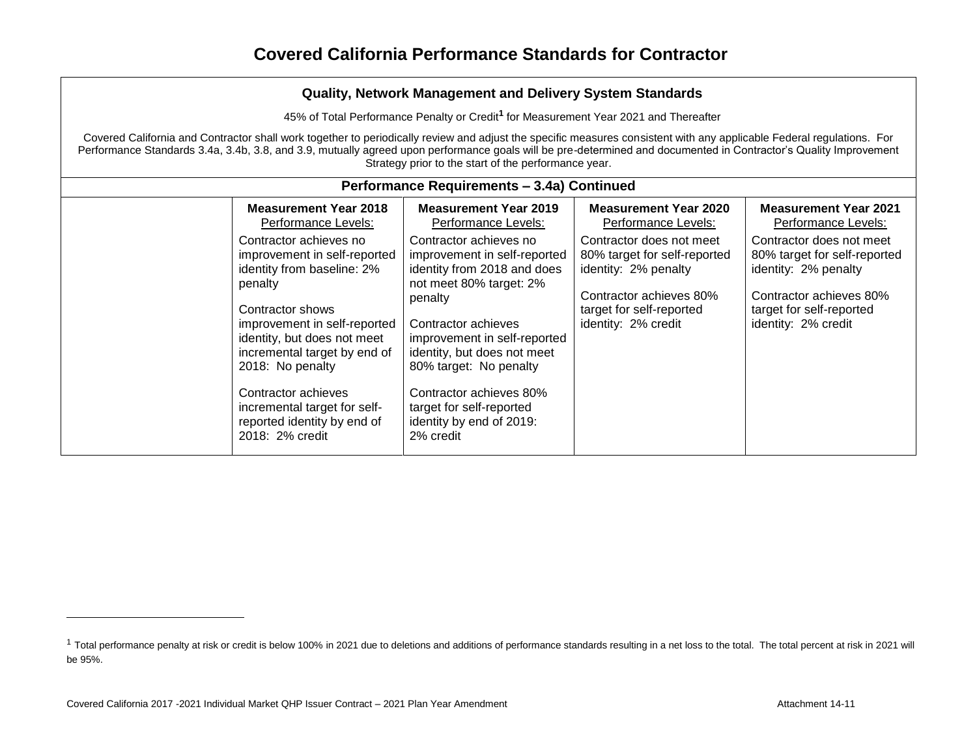45% of Total Performance Penalty or Credit**<sup>1</sup>** for Measurement Year 2021 and Thereafter

Covered California and Contractor shall work together to periodically review and adjust the specific measures consistent with any applicable Federal regulations. For Performance Standards 3.4a, 3.4b, 3.8, and 3.9, mutually agreed upon performance goals will be pre-determined and documented in Contractor's Quality Improvement Strategy prior to the start of the performance year.

| Performance Requirements - 3.4a) Continued                                                                                                                                                                         |                                                                                                                                                                                                                   |                                                                                                                                                                |                                                                                                                                                                |  |  |
|--------------------------------------------------------------------------------------------------------------------------------------------------------------------------------------------------------------------|-------------------------------------------------------------------------------------------------------------------------------------------------------------------------------------------------------------------|----------------------------------------------------------------------------------------------------------------------------------------------------------------|----------------------------------------------------------------------------------------------------------------------------------------------------------------|--|--|
| <b>Measurement Year 2018</b><br>Performance Levels:                                                                                                                                                                | <b>Measurement Year 2019</b><br>Performance Levels:                                                                                                                                                               | <b>Measurement Year 2020</b><br>Performance Levels:                                                                                                            | <b>Measurement Year 2021</b><br>Performance Levels:                                                                                                            |  |  |
| Contractor achieves no<br>improvement in self-reported<br>identity from baseline: 2%<br>penalty<br>Contractor shows<br>improvement in self-reported<br>identity, but does not meet<br>incremental target by end of | Contractor achieves no<br>improvement in self-reported<br>identity from 2018 and does<br>not meet 80% target: 2%<br>penalty<br>Contractor achieves<br>improvement in self-reported<br>identity, but does not meet | Contractor does not meet<br>80% target for self-reported<br>identity: 2% penalty<br>Contractor achieves 80%<br>target for self-reported<br>identity: 2% credit | Contractor does not meet<br>80% target for self-reported<br>identity: 2% penalty<br>Contractor achieves 80%<br>target for self-reported<br>identity: 2% credit |  |  |
| 2018: No penalty<br>Contractor achieves<br>incremental target for self-<br>reported identity by end of<br>2018: 2% credit                                                                                          | 80% target: No penalty<br>Contractor achieves 80%<br>target for self-reported<br>identity by end of 2019:<br>2% credit                                                                                            |                                                                                                                                                                |                                                                                                                                                                |  |  |

<sup>&</sup>lt;sup>1</sup> Total performance penalty at risk or credit is below 100% in 2021 due to deletions and additions of performance standards resulting in a net loss to the total. The total percent at risk in 2021 will be 95%.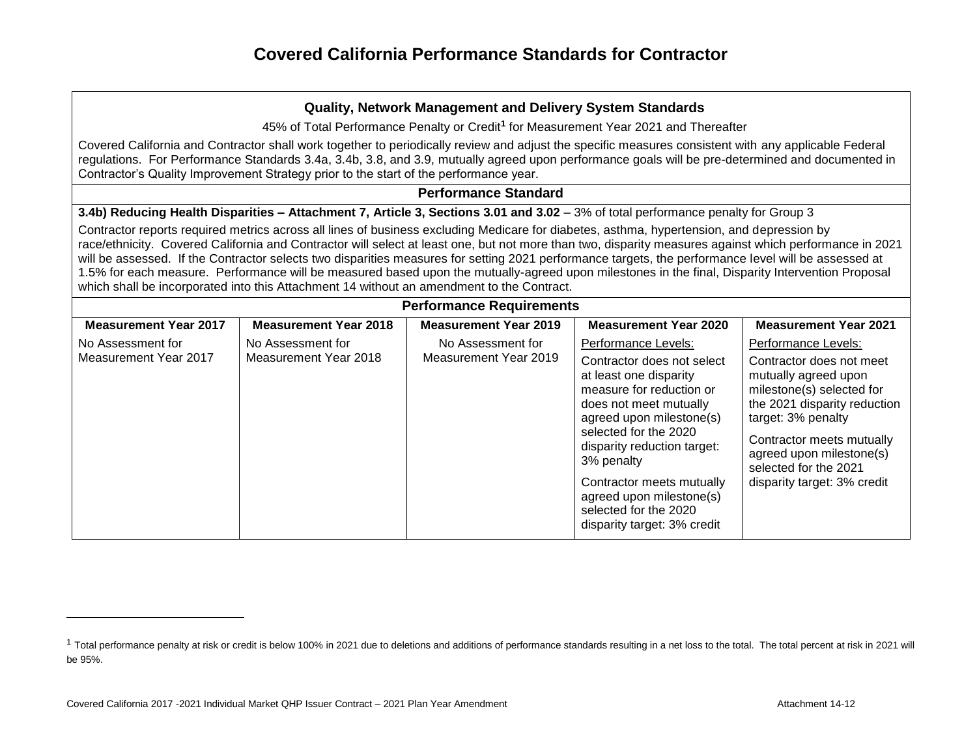| Quality, Network Management and Delivery System Standards                                                                                                                                                                                                                                                                                                                                                                                                                                                                                                                                                                                                                                                                                             |                                            |                                                                                                                                                                                                                                                                                                                                                      |                                                                                                                                                                                                                                                                             |  |  |
|-------------------------------------------------------------------------------------------------------------------------------------------------------------------------------------------------------------------------------------------------------------------------------------------------------------------------------------------------------------------------------------------------------------------------------------------------------------------------------------------------------------------------------------------------------------------------------------------------------------------------------------------------------------------------------------------------------------------------------------------------------|--------------------------------------------|------------------------------------------------------------------------------------------------------------------------------------------------------------------------------------------------------------------------------------------------------------------------------------------------------------------------------------------------------|-----------------------------------------------------------------------------------------------------------------------------------------------------------------------------------------------------------------------------------------------------------------------------|--|--|
| 45% of Total Performance Penalty or Credit <sup>1</sup> for Measurement Year 2021 and Thereafter                                                                                                                                                                                                                                                                                                                                                                                                                                                                                                                                                                                                                                                      |                                            |                                                                                                                                                                                                                                                                                                                                                      |                                                                                                                                                                                                                                                                             |  |  |
| Covered California and Contractor shall work together to periodically review and adjust the specific measures consistent with any applicable Federal<br>regulations. For Performance Standards 3.4a, 3.4b, 3.8, and 3.9, mutually agreed upon performance goals will be pre-determined and documented in<br>Contractor's Quality Improvement Strategy prior to the start of the performance year.                                                                                                                                                                                                                                                                                                                                                     |                                            |                                                                                                                                                                                                                                                                                                                                                      |                                                                                                                                                                                                                                                                             |  |  |
|                                                                                                                                                                                                                                                                                                                                                                                                                                                                                                                                                                                                                                                                                                                                                       | <b>Performance Standard</b>                |                                                                                                                                                                                                                                                                                                                                                      |                                                                                                                                                                                                                                                                             |  |  |
| 3.4b) Reducing Health Disparities - Attachment 7, Article 3, Sections 3.01 and 3.02 - 3% of total performance penalty for Group 3<br>Contractor reports required metrics across all lines of business excluding Medicare for diabetes, asthma, hypertension, and depression by<br>race/ethnicity. Covered California and Contractor will select at least one, but not more than two, disparity measures against which performance in 2021<br>will be assessed. If the Contractor selects two disparities measures for setting 2021 performance targets, the performance level will be assessed at<br>1.5% for each measure. Performance will be measured based upon the mutually-agreed upon milestones in the final, Disparity Intervention Proposal |                                            |                                                                                                                                                                                                                                                                                                                                                      |                                                                                                                                                                                                                                                                             |  |  |
|                                                                                                                                                                                                                                                                                                                                                                                                                                                                                                                                                                                                                                                                                                                                                       |                                            |                                                                                                                                                                                                                                                                                                                                                      |                                                                                                                                                                                                                                                                             |  |  |
| <b>Measurement Year 2018</b>                                                                                                                                                                                                                                                                                                                                                                                                                                                                                                                                                                                                                                                                                                                          | <b>Measurement Year 2019</b>               | <b>Measurement Year 2020</b>                                                                                                                                                                                                                                                                                                                         | <b>Measurement Year 2021</b>                                                                                                                                                                                                                                                |  |  |
| No Assessment for<br>Measurement Year 2018                                                                                                                                                                                                                                                                                                                                                                                                                                                                                                                                                                                                                                                                                                            | No Assessment for<br>Measurement Year 2019 | Performance Levels:<br>Contractor does not select<br>at least one disparity<br>measure for reduction or<br>does not meet mutually<br>agreed upon milestone(s)<br>selected for the 2020<br>disparity reduction target:<br>3% penalty<br>Contractor meets mutually<br>agreed upon milestone(s)<br>selected for the 2020<br>disparity target: 3% credit | Performance Levels:<br>Contractor does not meet<br>mutually agreed upon<br>milestone(s) selected for<br>the 2021 disparity reduction<br>target: 3% penalty<br>Contractor meets mutually<br>agreed upon milestone(s)<br>selected for the 2021<br>disparity target: 3% credit |  |  |
|                                                                                                                                                                                                                                                                                                                                                                                                                                                                                                                                                                                                                                                                                                                                                       |                                            |                                                                                                                                                                                                                                                                                                                                                      | which shall be incorporated into this Attachment 14 without an amendment to the Contract.<br><b>Performance Requirements</b>                                                                                                                                                |  |  |

<sup>&</sup>lt;sup>1</sup> Total performance penalty at risk or credit is below 100% in 2021 due to deletions and additions of performance standards resulting in a net loss to the total. The total percent at risk in 2021 will be 95%.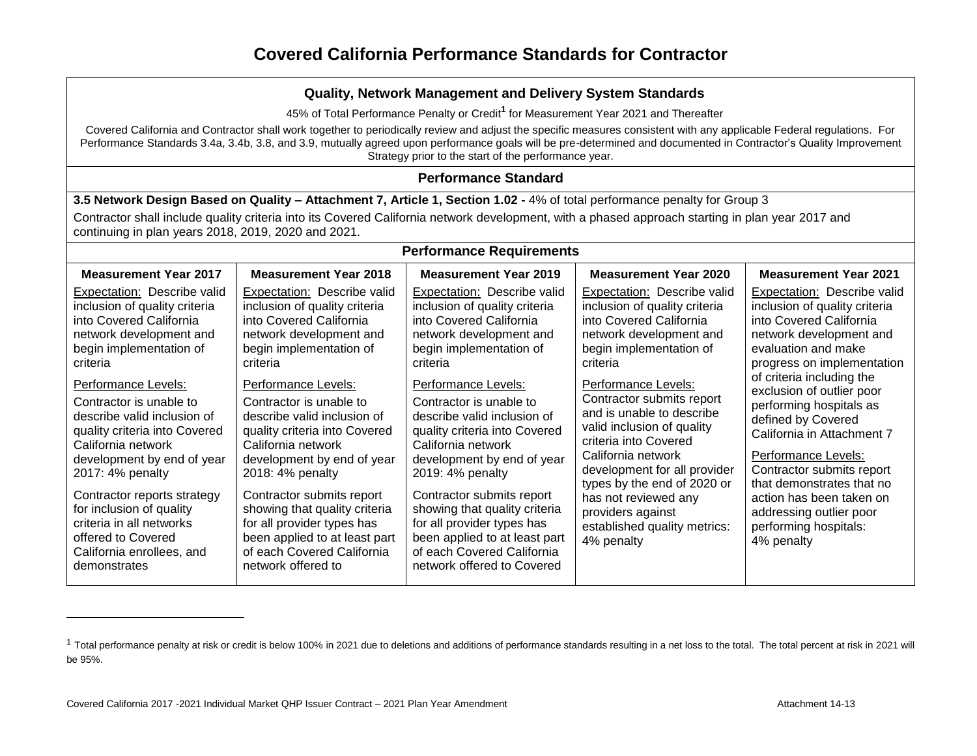45% of Total Performance Penalty or Credit**<sup>1</sup>** for Measurement Year 2021 and Thereafter

Covered California and Contractor shall work together to periodically review and adjust the specific measures consistent with any applicable Federal regulations. For Performance Standards 3.4a, 3.4b, 3.8, and 3.9, mutually agreed upon performance goals will be pre-determined and documented in Contractor's Quality Improvement Strategy prior to the start of the performance year.

### **Performance Standard**

**3.5 Network Design Based on Quality – Attachment 7, Article 1, Section 1.02 -** 4% of total performance penalty for Group 3

Contractor shall include quality criteria into its Covered California network development, with a phased approach starting in plan year 2017 and continuing in plan years 2018, 2019, 2020 and 2021.

| <b>Performance Requirements</b>                                                                                                                                                                                                                   |                                                                                                                                                                                                                                                      |                                                                                                                                                                                                                                                      |                                                                                                                                                                                                                                                                        |                                                                                                                                                                                                                                                                               |  |
|---------------------------------------------------------------------------------------------------------------------------------------------------------------------------------------------------------------------------------------------------|------------------------------------------------------------------------------------------------------------------------------------------------------------------------------------------------------------------------------------------------------|------------------------------------------------------------------------------------------------------------------------------------------------------------------------------------------------------------------------------------------------------|------------------------------------------------------------------------------------------------------------------------------------------------------------------------------------------------------------------------------------------------------------------------|-------------------------------------------------------------------------------------------------------------------------------------------------------------------------------------------------------------------------------------------------------------------------------|--|
| <b>Measurement Year 2017</b>                                                                                                                                                                                                                      | <b>Measurement Year 2018</b>                                                                                                                                                                                                                         | <b>Measurement Year 2019</b>                                                                                                                                                                                                                         | <b>Measurement Year 2020</b>                                                                                                                                                                                                                                           | <b>Measurement Year 2021</b>                                                                                                                                                                                                                                                  |  |
| Expectation: Describe valid<br>inclusion of quality criteria<br>into Covered California<br>network development and<br>begin implementation of<br>criteria                                                                                         | Expectation: Describe valid<br>inclusion of quality criteria<br>into Covered California<br>network development and<br>begin implementation of<br>criteria                                                                                            | <b>Expectation:</b> Describe valid<br>inclusion of quality criteria<br>into Covered California<br>network development and<br>begin implementation of<br>criteria                                                                                     | Expectation: Describe valid<br>inclusion of quality criteria<br>into Covered California<br>network development and<br>begin implementation of<br>criteria                                                                                                              | Expectation: Describe valid<br>inclusion of quality criteria<br>into Covered California<br>network development and<br>evaluation and make<br>progress on implementation                                                                                                       |  |
| Performance Levels:<br>Contractor is unable to<br>describe valid inclusion of<br>quality criteria into Covered<br>California network<br>development by end of year<br>2017: 4% penalty<br>Contractor reports strategy<br>for inclusion of quality | Performance Levels:<br>Contractor is unable to<br>describe valid inclusion of<br>quality criteria into Covered<br>California network<br>development by end of year<br>2018: 4% penalty<br>Contractor submits report<br>showing that quality criteria | Performance Levels:<br>Contractor is unable to<br>describe valid inclusion of<br>quality criteria into Covered<br>California network<br>development by end of year<br>2019: 4% penalty<br>Contractor submits report<br>showing that quality criteria | Performance Levels:<br>Contractor submits report<br>and is unable to describe<br>valid inclusion of quality<br>criteria into Covered<br>California network<br>development for all provider<br>types by the end of 2020 or<br>has not reviewed any<br>providers against | of criteria including the<br>exclusion of outlier poor<br>performing hospitals as<br>defined by Covered<br>California in Attachment 7<br>Performance Levels:<br>Contractor submits report<br>that demonstrates that no<br>action has been taken on<br>addressing outlier poor |  |
| criteria in all networks<br>offered to Covered<br>California enrollees, and<br>demonstrates                                                                                                                                                       | for all provider types has<br>been applied to at least part<br>of each Covered California<br>network offered to                                                                                                                                      | for all provider types has<br>been applied to at least part<br>of each Covered California<br>network offered to Covered                                                                                                                              | established quality metrics:<br>4% penalty                                                                                                                                                                                                                             | performing hospitals:<br>4% penalty                                                                                                                                                                                                                                           |  |

<sup>&</sup>lt;sup>1</sup> Total performance penalty at risk or credit is below 100% in 2021 due to deletions and additions of performance standards resulting in a net loss to the total. The total percent at risk in 2021 will be 95%.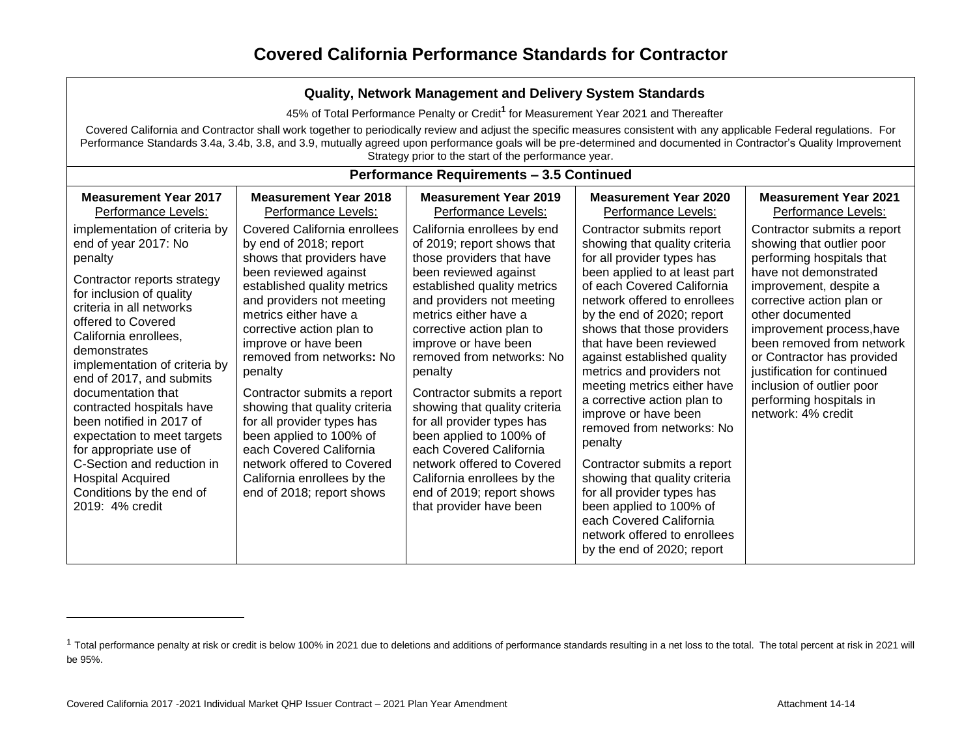| Quality, Network Management and Delivery System Standards                                                                                                                                                                                                                                                                                                                                                                                                                                                                                                                                   |                                                                                                                                                                                                                                                                                                                                                                                                                                                                                                                                                                                                            |                                                                                                                                                                                                                                                                                                                                                                                                                                                                                                                                                                                                                                   |                                                                                                                                                                                                                                                                                                                                                                                                                                                                                                                                                                                                                                                                                                                                                   |                                                                                                                                                                                                                                                                                                                                                                                                                                                       |  |  |  |
|---------------------------------------------------------------------------------------------------------------------------------------------------------------------------------------------------------------------------------------------------------------------------------------------------------------------------------------------------------------------------------------------------------------------------------------------------------------------------------------------------------------------------------------------------------------------------------------------|------------------------------------------------------------------------------------------------------------------------------------------------------------------------------------------------------------------------------------------------------------------------------------------------------------------------------------------------------------------------------------------------------------------------------------------------------------------------------------------------------------------------------------------------------------------------------------------------------------|-----------------------------------------------------------------------------------------------------------------------------------------------------------------------------------------------------------------------------------------------------------------------------------------------------------------------------------------------------------------------------------------------------------------------------------------------------------------------------------------------------------------------------------------------------------------------------------------------------------------------------------|---------------------------------------------------------------------------------------------------------------------------------------------------------------------------------------------------------------------------------------------------------------------------------------------------------------------------------------------------------------------------------------------------------------------------------------------------------------------------------------------------------------------------------------------------------------------------------------------------------------------------------------------------------------------------------------------------------------------------------------------------|-------------------------------------------------------------------------------------------------------------------------------------------------------------------------------------------------------------------------------------------------------------------------------------------------------------------------------------------------------------------------------------------------------------------------------------------------------|--|--|--|
|                                                                                                                                                                                                                                                                                                                                                                                                                                                                                                                                                                                             | 45% of Total Performance Penalty or Credit <sup>1</sup> for Measurement Year 2021 and Thereafter                                                                                                                                                                                                                                                                                                                                                                                                                                                                                                           |                                                                                                                                                                                                                                                                                                                                                                                                                                                                                                                                                                                                                                   |                                                                                                                                                                                                                                                                                                                                                                                                                                                                                                                                                                                                                                                                                                                                                   |                                                                                                                                                                                                                                                                                                                                                                                                                                                       |  |  |  |
|                                                                                                                                                                                                                                                                                                                                                                                                                                                                                                                                                                                             | Covered California and Contractor shall work together to periodically review and adjust the specific measures consistent with any applicable Federal regulations. For<br>Performance Standards 3.4a, 3.4b, 3.8, and 3.9, mutually agreed upon performance goals will be pre-determined and documented in Contractor's Quality Improvement<br>Strategy prior to the start of the performance year.                                                                                                                                                                                                          |                                                                                                                                                                                                                                                                                                                                                                                                                                                                                                                                                                                                                                   |                                                                                                                                                                                                                                                                                                                                                                                                                                                                                                                                                                                                                                                                                                                                                   |                                                                                                                                                                                                                                                                                                                                                                                                                                                       |  |  |  |
|                                                                                                                                                                                                                                                                                                                                                                                                                                                                                                                                                                                             | <b>Performance Requirements - 3.5 Continued</b>                                                                                                                                                                                                                                                                                                                                                                                                                                                                                                                                                            |                                                                                                                                                                                                                                                                                                                                                                                                                                                                                                                                                                                                                                   |                                                                                                                                                                                                                                                                                                                                                                                                                                                                                                                                                                                                                                                                                                                                                   |                                                                                                                                                                                                                                                                                                                                                                                                                                                       |  |  |  |
| <b>Measurement Year 2017</b><br>Performance Levels:<br>implementation of criteria by<br>end of year 2017: No<br>penalty<br>Contractor reports strategy<br>for inclusion of quality<br>criteria in all networks<br>offered to Covered<br>California enrollees,<br>demonstrates<br>implementation of criteria by<br>end of 2017, and submits<br>documentation that<br>contracted hospitals have<br>been notified in 2017 of<br>expectation to meet targets<br>for appropriate use of<br>C-Section and reduction in<br><b>Hospital Acquired</b><br>Conditions by the end of<br>2019: 4% credit | <b>Measurement Year 2018</b><br>Performance Levels:<br><b>Covered California enrollees</b><br>by end of 2018; report<br>shows that providers have<br>been reviewed against<br>established quality metrics<br>and providers not meeting<br>metrics either have a<br>corrective action plan to<br>improve or have been<br>removed from networks: No<br>penalty<br>Contractor submits a report<br>showing that quality criteria<br>for all provider types has<br>been applied to 100% of<br>each Covered California<br>network offered to Covered<br>California enrollees by the<br>end of 2018; report shows | <b>Measurement Year 2019</b><br>Performance Levels:<br>California enrollees by end<br>of 2019; report shows that<br>those providers that have<br>been reviewed against<br>established quality metrics<br>and providers not meeting<br>metrics either have a<br>corrective action plan to<br>improve or have been<br>removed from networks: No<br>penalty<br>Contractor submits a report<br>showing that quality criteria<br>for all provider types has<br>been applied to 100% of<br>each Covered California<br>network offered to Covered<br>California enrollees by the<br>end of 2019; report shows<br>that provider have been | <b>Measurement Year 2020</b><br>Performance Levels:<br>Contractor submits report<br>showing that quality criteria<br>for all provider types has<br>been applied to at least part<br>of each Covered California<br>network offered to enrollees<br>by the end of 2020; report<br>shows that those providers<br>that have been reviewed<br>against established quality<br>metrics and providers not<br>meeting metrics either have<br>a corrective action plan to<br>improve or have been<br>removed from networks: No<br>penalty<br>Contractor submits a report<br>showing that quality criteria<br>for all provider types has<br>been applied to 100% of<br>each Covered California<br>network offered to enrollees<br>by the end of 2020; report | <b>Measurement Year 2021</b><br>Performance Levels:<br>Contractor submits a report<br>showing that outlier poor<br>performing hospitals that<br>have not demonstrated<br>improvement, despite a<br>corrective action plan or<br>other documented<br>improvement process, have<br>been removed from network<br>or Contractor has provided<br>justification for continued<br>inclusion of outlier poor<br>performing hospitals in<br>network: 4% credit |  |  |  |

<sup>&</sup>lt;sup>1</sup> Total performance penalty at risk or credit is below 100% in 2021 due to deletions and additions of performance standards resulting in a net loss to the total. The total percent at risk in 2021 will be 95%.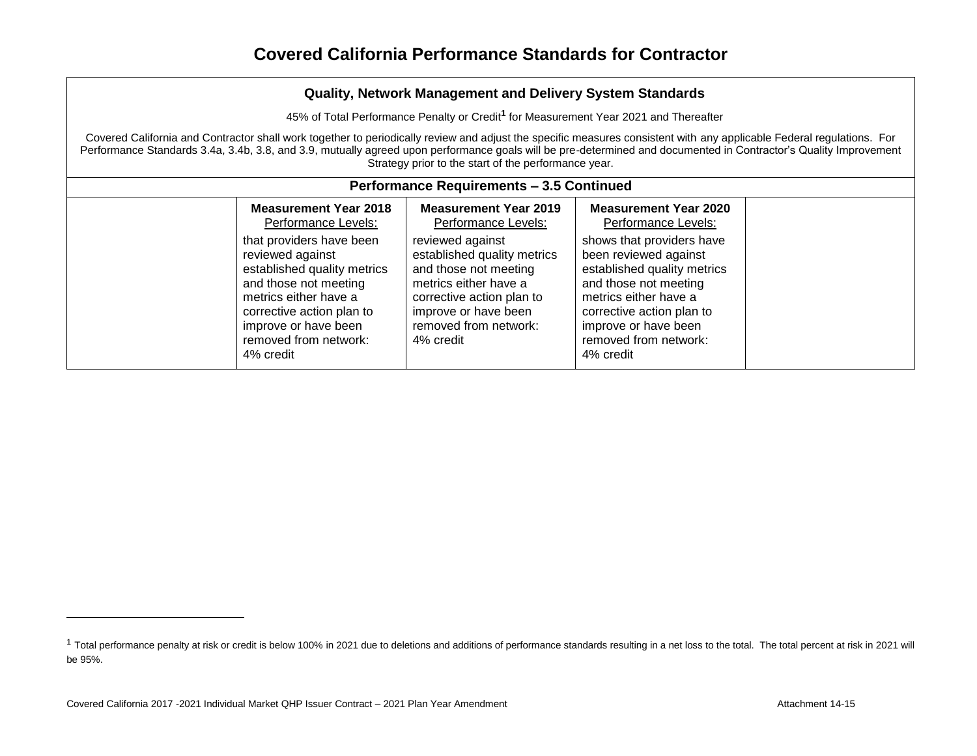| <b>Quality, Network Management and Delivery System Standards</b> |  |  |
|------------------------------------------------------------------|--|--|
|------------------------------------------------------------------|--|--|

45% of Total Performance Penalty or Credit**<sup>1</sup>** for Measurement Year 2021 and Thereafter

Covered California and Contractor shall work together to periodically review and adjust the specific measures consistent with any applicable Federal regulations. For Performance Standards 3.4a, 3.4b, 3.8, and 3.9, mutually agreed upon performance goals will be pre-determined and documented in Contractor's Quality Improvement Strategy prior to the start of the performance year.

<sup>&</sup>lt;sup>1</sup> Total performance penalty at risk or credit is below 100% in 2021 due to deletions and additions of performance standards resulting in a net loss to the total. The total percent at risk in 2021 will be 95%.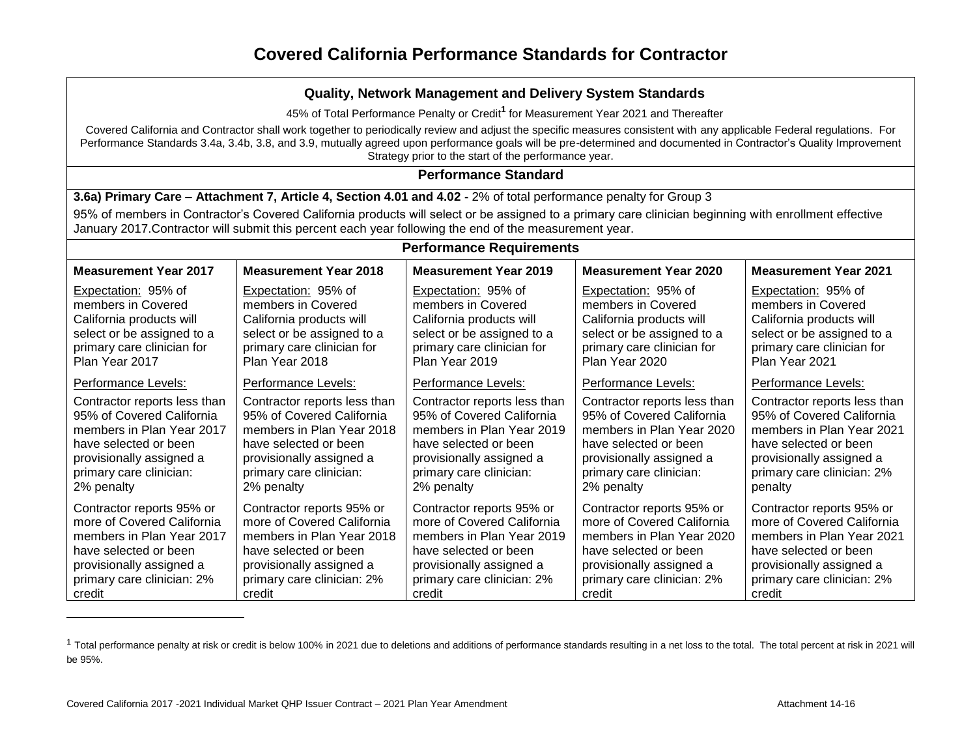45% of Total Performance Penalty or Credit**<sup>1</sup>** for Measurement Year 2021 and Thereafter

Covered California and Contractor shall work together to periodically review and adjust the specific measures consistent with any applicable Federal regulations. For Performance Standards 3.4a, 3.4b, 3.8, and 3.9, mutually agreed upon performance goals will be pre-determined and documented in Contractor's Quality Improvement Strategy prior to the start of the performance year.

### **Performance Standard**

**3.6a) Primary Care – Attachment 7, Article 4, Section 4.01 and 4.02 -** 2% of total performance penalty for Group 3

95% of members in Contractor's Covered California products will select or be assigned to a primary care clinician beginning with enrollment effective January 2017.Contractor will submit this percent each year following the end of the measurement year.

| <b>Performance Requirements</b> |                              |                              |                              |                              |
|---------------------------------|------------------------------|------------------------------|------------------------------|------------------------------|
| <b>Measurement Year 2017</b>    | <b>Measurement Year 2018</b> | <b>Measurement Year 2019</b> | <b>Measurement Year 2020</b> | <b>Measurement Year 2021</b> |
| Expectation: 95% of             | Expectation: 95% of          | Expectation: 95% of          | Expectation: 95% of          | <b>Expectation: 95% of</b>   |
| members in Covered              | members in Covered           | members in Covered           | members in Covered           | members in Covered           |
| California products will        | California products will     | California products will     | California products will     | California products will     |
| select or be assigned to a      | select or be assigned to a   | select or be assigned to a   | select or be assigned to a   | select or be assigned to a   |
| primary care clinician for      | primary care clinician for   | primary care clinician for   | primary care clinician for   | primary care clinician for   |
| Plan Year 2017                  | Plan Year 2018               | Plan Year 2019               | Plan Year 2020               | Plan Year 2021               |
| Performance Levels:             | Performance Levels:          | Performance Levels:          | Performance Levels:          | Performance Levels:          |
| Contractor reports less than    | Contractor reports less than | Contractor reports less than | Contractor reports less than | Contractor reports less than |
| 95% of Covered California       | 95% of Covered California    | 95% of Covered California    | 95% of Covered California    | 95% of Covered California    |
| members in Plan Year 2017       | members in Plan Year 2018    | members in Plan Year 2019    | members in Plan Year 2020    | members in Plan Year 2021    |
| have selected or been           | have selected or been        | have selected or been        | have selected or been        | have selected or been        |
| provisionally assigned a        | provisionally assigned a     | provisionally assigned a     | provisionally assigned a     | provisionally assigned a     |
| primary care clinician:         | primary care clinician:      | primary care clinician:      | primary care clinician:      | primary care clinician: 2%   |
| 2% penalty                      | 2% penalty                   | 2% penalty                   | 2% penalty                   | penalty                      |
| Contractor reports 95% or       | Contractor reports 95% or    | Contractor reports 95% or    | Contractor reports 95% or    | Contractor reports 95% or    |
| more of Covered California      | more of Covered California   | more of Covered California   | more of Covered California   | more of Covered California   |
| members in Plan Year 2017       | members in Plan Year 2018    | members in Plan Year 2019    | members in Plan Year 2020    | members in Plan Year 2021    |
| have selected or been           | have selected or been        | have selected or been        | have selected or been        | have selected or been        |
| provisionally assigned a        | provisionally assigned a     | provisionally assigned a     | provisionally assigned a     | provisionally assigned a     |
| primary care clinician: 2%      | primary care clinician: 2%   | primary care clinician: 2%   | primary care clinician: 2%   | primary care clinician: 2%   |
| credit                          | credit                       | credit                       | credit                       | credit                       |

<sup>&</sup>lt;sup>1</sup> Total performance penalty at risk or credit is below 100% in 2021 due to deletions and additions of performance standards resulting in a net loss to the total. The total percent at risk in 2021 will be 95%.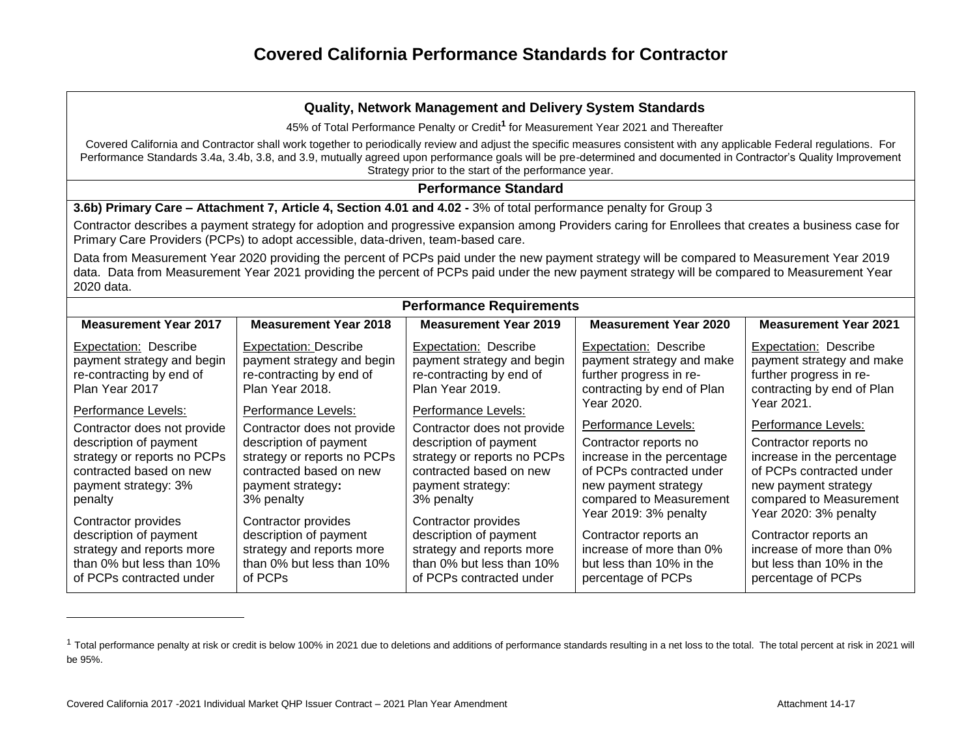#### **Quality, Network Management and Delivery System Standards**

45% of Total Performance Penalty or Credit**<sup>1</sup>** for Measurement Year 2021 and Thereafter

Covered California and Contractor shall work together to periodically review and adjust the specific measures consistent with any applicable Federal regulations. For Performance Standards 3.4a, 3.4b, 3.8, and 3.9, mutually agreed upon performance goals will be pre-determined and documented in Contractor's Quality Improvement Strategy prior to the start of the performance year.

### **Performance Standard**

**3.6b) Primary Care – Attachment 7, Article 4, Section 4.01 and 4.02 -** 3% of total performance penalty for Group 3

Contractor describes a payment strategy for adoption and progressive expansion among Providers caring for Enrollees that creates a business case for Primary Care Providers (PCPs) to adopt accessible, data-driven, team-based care.

Data from Measurement Year 2020 providing the percent of PCPs paid under the new payment strategy will be compared to Measurement Year 2019 data. Data from Measurement Year 2021 providing the percent of PCPs paid under the new payment strategy will be compared to Measurement Year 2020 data.

| <b>Performance Requirements</b> |                              |                              |                              |                              |  |
|---------------------------------|------------------------------|------------------------------|------------------------------|------------------------------|--|
| <b>Measurement Year 2017</b>    | <b>Measurement Year 2018</b> | <b>Measurement Year 2019</b> | <b>Measurement Year 2020</b> | <b>Measurement Year 2021</b> |  |
| <b>Expectation: Describe</b>    | <b>Expectation: Describe</b> | Expectation: Describe        | <b>Expectation: Describe</b> | Expectation: Describe        |  |
| payment strategy and begin      | payment strategy and begin   | payment strategy and begin   | payment strategy and make    | payment strategy and make    |  |
| re-contracting by end of        | re-contracting by end of     | re-contracting by end of     | further progress in re-      | further progress in re-      |  |
| Plan Year 2017                  | Plan Year 2018.              | Plan Year 2019.              | contracting by end of Plan   | contracting by end of Plan   |  |
| Performance Levels:             | Performance Levels:          | Performance Levels:          | Year 2020.                   | Year 2021.                   |  |
| Contractor does not provide     | Contractor does not provide  | Contractor does not provide  | Performance Levels:          | Performance Levels:          |  |
| description of payment          | description of payment       | description of payment       | Contractor reports no        | Contractor reports no        |  |
| strategy or reports no PCPs     | strategy or reports no PCPs  | strategy or reports no PCPs  | increase in the percentage   | increase in the percentage   |  |
| contracted based on new         | contracted based on new      | contracted based on new      | of PCPs contracted under     | of PCPs contracted under     |  |
| payment strategy: 3%            | payment strategy:            | payment strategy:            | new payment strategy         | new payment strategy         |  |
| penalty                         | 3% penalty                   | 3% penalty                   | compared to Measurement      | compared to Measurement      |  |
| Contractor provides             | Contractor provides          | Contractor provides          | Year 2019: 3% penalty        | Year 2020: 3% penalty        |  |
| description of payment          | description of payment       | description of payment       | Contractor reports an        | Contractor reports an        |  |
| strategy and reports more       | strategy and reports more    | strategy and reports more    | increase of more than 0%     | increase of more than 0%     |  |
| than 0% but less than 10%       | than 0% but less than 10%    | than 0% but less than 10%    | but less than 10% in the     | but less than 10% in the     |  |
| of PCPs contracted under        | of PCPs                      | of PCPs contracted under     | percentage of PCPs           | percentage of PCPs           |  |

<sup>&</sup>lt;sup>1</sup> Total performance penalty at risk or credit is below 100% in 2021 due to deletions and additions of performance standards resulting in a net loss to the total. The total percent at risk in 2021 will be 95%.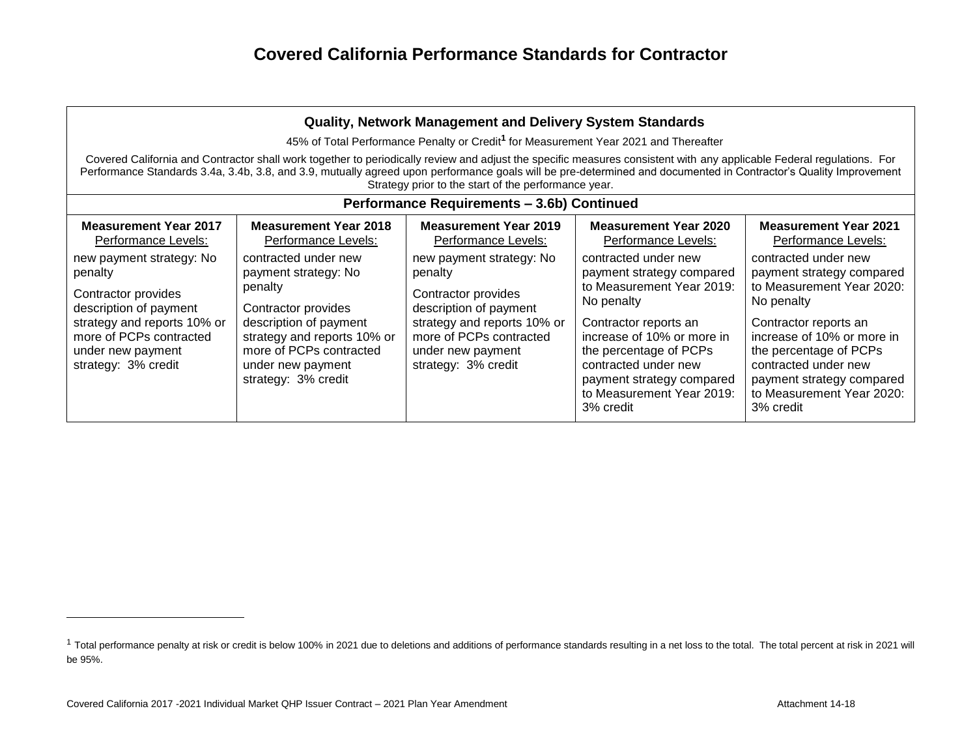| <b>Quality, Network Management and Delivery System Standards</b>                                                                                                                           |                                                                                                                                                                                                                                                                                                                                                                                                   |                                                                                                                                                                                            |                                                                                                                                                                                                                                                                              |                                                                                                                                                                                                                                                                              |  |  |
|--------------------------------------------------------------------------------------------------------------------------------------------------------------------------------------------|---------------------------------------------------------------------------------------------------------------------------------------------------------------------------------------------------------------------------------------------------------------------------------------------------------------------------------------------------------------------------------------------------|--------------------------------------------------------------------------------------------------------------------------------------------------------------------------------------------|------------------------------------------------------------------------------------------------------------------------------------------------------------------------------------------------------------------------------------------------------------------------------|------------------------------------------------------------------------------------------------------------------------------------------------------------------------------------------------------------------------------------------------------------------------------|--|--|
|                                                                                                                                                                                            |                                                                                                                                                                                                                                                                                                                                                                                                   | 45% of Total Performance Penalty or Credit <sup>1</sup> for Measurement Year 2021 and Thereafter                                                                                           |                                                                                                                                                                                                                                                                              |                                                                                                                                                                                                                                                                              |  |  |
|                                                                                                                                                                                            | Covered California and Contractor shall work together to periodically review and adjust the specific measures consistent with any applicable Federal regulations. For<br>Performance Standards 3.4a, 3.4b, 3.8, and 3.9, mutually agreed upon performance goals will be pre-determined and documented in Contractor's Quality Improvement<br>Strategy prior to the start of the performance year. |                                                                                                                                                                                            |                                                                                                                                                                                                                                                                              |                                                                                                                                                                                                                                                                              |  |  |
|                                                                                                                                                                                            |                                                                                                                                                                                                                                                                                                                                                                                                   | Performance Requirements - 3.6b) Continued                                                                                                                                                 |                                                                                                                                                                                                                                                                              |                                                                                                                                                                                                                                                                              |  |  |
| <b>Measurement Year 2017</b><br>Performance Levels:                                                                                                                                        | <b>Measurement Year 2018</b><br>Performance Levels:                                                                                                                                                                                                                                                                                                                                               | <b>Measurement Year 2019</b><br>Performance Levels:                                                                                                                                        | <b>Measurement Year 2020</b><br>Performance Levels:                                                                                                                                                                                                                          | <b>Measurement Year 2021</b><br>Performance Levels:                                                                                                                                                                                                                          |  |  |
| new payment strategy: No<br>penalty<br>Contractor provides<br>description of payment<br>strategy and reports 10% or<br>more of PCPs contracted<br>under new payment<br>strategy: 3% credit | contracted under new<br>payment strategy: No<br>penalty<br>Contractor provides<br>description of payment<br>strategy and reports 10% or<br>more of PCPs contracted<br>under new payment<br>strategy: 3% credit                                                                                                                                                                                    | new payment strategy: No<br>penalty<br>Contractor provides<br>description of payment<br>strategy and reports 10% or<br>more of PCPs contracted<br>under new payment<br>strategy: 3% credit | contracted under new<br>payment strategy compared<br>to Measurement Year 2019:<br>No penalty<br>Contractor reports an<br>increase of 10% or more in<br>the percentage of PCPs<br>contracted under new<br>payment strategy compared<br>to Measurement Year 2019:<br>3% credit | contracted under new<br>payment strategy compared<br>to Measurement Year 2020:<br>No penalty<br>Contractor reports an<br>increase of 10% or more in<br>the percentage of PCPs<br>contracted under new<br>payment strategy compared<br>to Measurement Year 2020:<br>3% credit |  |  |

<sup>&</sup>lt;sup>1</sup> Total performance penalty at risk or credit is below 100% in 2021 due to deletions and additions of performance standards resulting in a net loss to the total. The total percent at risk in 2021 will be 95%.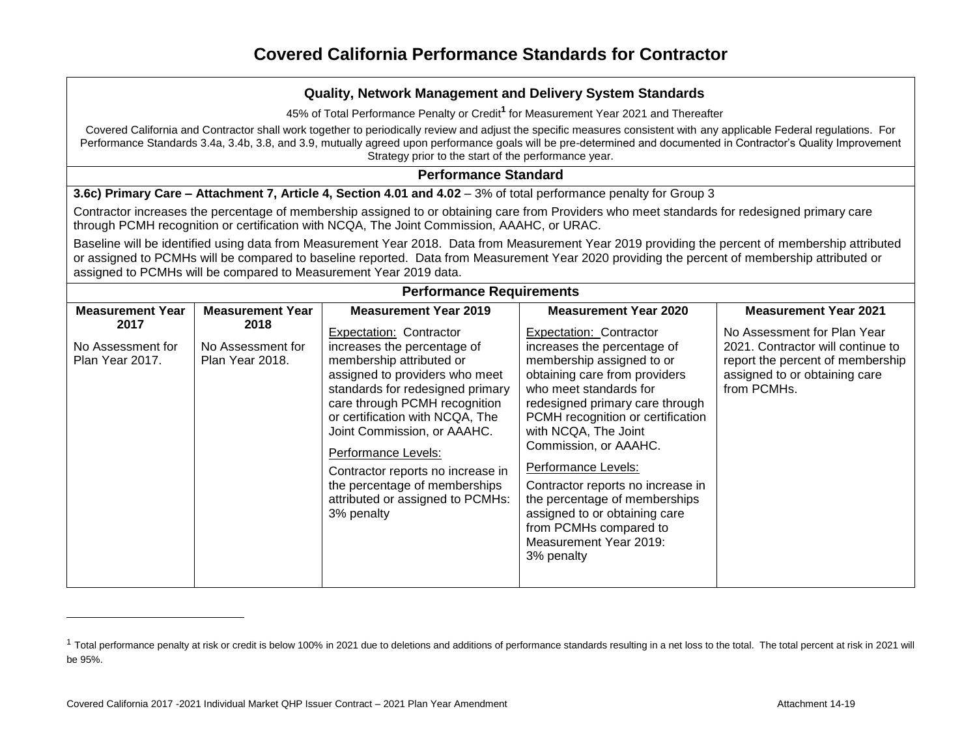45% of Total Performance Penalty or Credit**<sup>1</sup>** for Measurement Year 2021 and Thereafter

Covered California and Contractor shall work together to periodically review and adjust the specific measures consistent with any applicable Federal regulations. For Performance Standards 3.4a, 3.4b, 3.8, and 3.9, mutually agreed upon performance goals will be pre-determined and documented in Contractor's Quality Improvement Strategy prior to the start of the performance year.

### **Performance Standard**

**3.6c) Primary Care – Attachment 7, Article 4, Section 4.01 and 4.02 – 3% of total performance penalty for Group 3** 

Contractor increases the percentage of membership assigned to or obtaining care from Providers who meet standards for redesigned primary care through PCMH recognition or certification with NCQA, The Joint Commission, AAAHC, or URAC.

Baseline will be identified using data from Measurement Year 2018. Data from Measurement Year 2019 providing the percent of membership attributed or assigned to PCMHs will be compared to baseline reported. Data from Measurement Year 2020 providing the percent of membership attributed or assigned to PCMHs will be compared to Measurement Year 2019 data.

| <b>Performance Requirements</b>              |                                              |                                                                                                                                                                                                                                                                                                                                                                                                            |                                                                                                                                                                                                                                                                                                                                                                                                                                                                         |                                                                                                                                                                   |  |
|----------------------------------------------|----------------------------------------------|------------------------------------------------------------------------------------------------------------------------------------------------------------------------------------------------------------------------------------------------------------------------------------------------------------------------------------------------------------------------------------------------------------|-------------------------------------------------------------------------------------------------------------------------------------------------------------------------------------------------------------------------------------------------------------------------------------------------------------------------------------------------------------------------------------------------------------------------------------------------------------------------|-------------------------------------------------------------------------------------------------------------------------------------------------------------------|--|
| <b>Measurement Year</b>                      | <b>Measurement Year</b>                      | <b>Measurement Year 2019</b>                                                                                                                                                                                                                                                                                                                                                                               | <b>Measurement Year 2020</b>                                                                                                                                                                                                                                                                                                                                                                                                                                            | <b>Measurement Year 2021</b>                                                                                                                                      |  |
| 2017<br>No Assessment for<br>Plan Year 2017. | 2018<br>No Assessment for<br>Plan Year 2018. | Expectation: Contractor<br>increases the percentage of<br>membership attributed or<br>assigned to providers who meet<br>standards for redesigned primary<br>care through PCMH recognition<br>or certification with NCQA, The<br>Joint Commission, or AAAHC.<br>Performance Levels:<br>Contractor reports no increase in<br>the percentage of memberships<br>attributed or assigned to PCMHs:<br>3% penalty | Expectation: Contractor<br>increases the percentage of<br>membership assigned to or<br>obtaining care from providers<br>who meet standards for<br>redesigned primary care through<br>PCMH recognition or certification<br>with NCQA, The Joint<br>Commission, or AAAHC.<br>Performance Levels:<br>Contractor reports no increase in<br>the percentage of memberships<br>assigned to or obtaining care<br>from PCMHs compared to<br>Measurement Year 2019:<br>3% penalty | No Assessment for Plan Year<br>2021. Contractor will continue to<br>report the percent of membership<br>assigned to or obtaining care<br>from PCMH <sub>s</sub> . |  |

<sup>&</sup>lt;sup>1</sup> Total performance penalty at risk or credit is below 100% in 2021 due to deletions and additions of performance standards resulting in a net loss to the total. The total percent at risk in 2021 will be 95%.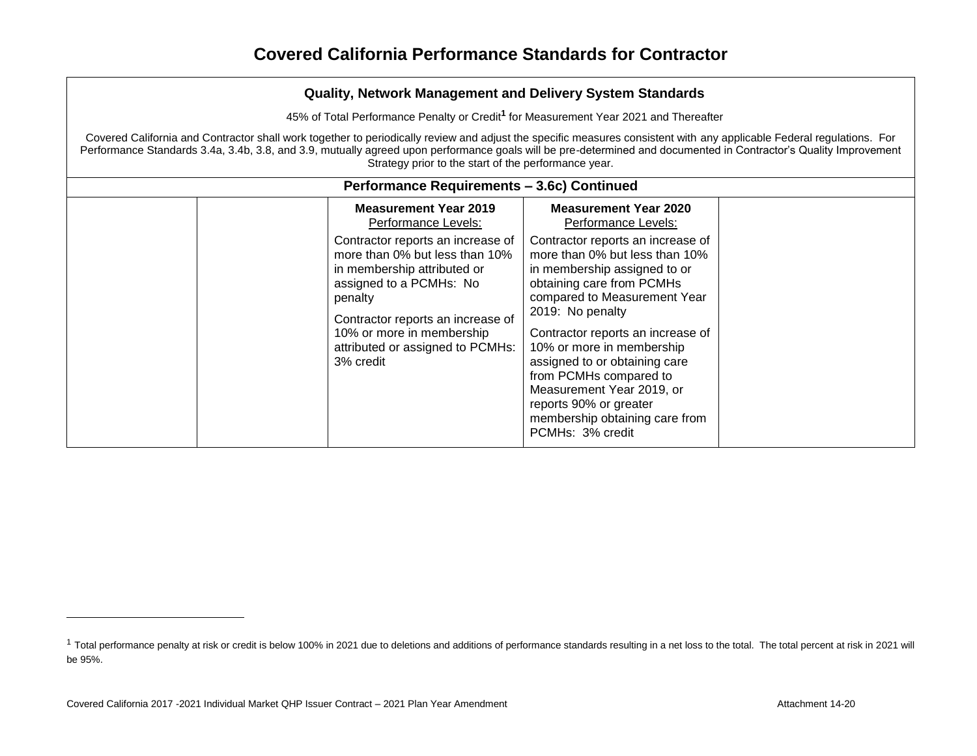45% of Total Performance Penalty or Credit**<sup>1</sup>** for Measurement Year 2021 and Thereafter

Covered California and Contractor shall work together to periodically review and adjust the specific measures consistent with any applicable Federal regulations. For Performance Standards 3.4a, 3.4b, 3.8, and 3.9, mutually agreed upon performance goals will be pre-determined and documented in Contractor's Quality Improvement Strategy prior to the start of the performance year.

| Performance Requirements - 3.6c) Continued                                                                                                                                                                                                                                                                         |                                                                                                                                                                                                                                                                                                                                                                                                                                                                                       |  |  |
|--------------------------------------------------------------------------------------------------------------------------------------------------------------------------------------------------------------------------------------------------------------------------------------------------------------------|---------------------------------------------------------------------------------------------------------------------------------------------------------------------------------------------------------------------------------------------------------------------------------------------------------------------------------------------------------------------------------------------------------------------------------------------------------------------------------------|--|--|
| <b>Measurement Year 2019</b><br>Performance Levels:<br>Contractor reports an increase of<br>more than 0% but less than 10%<br>in membership attributed or<br>assigned to a PCMHs: No<br>penalty<br>Contractor reports an increase of<br>10% or more in membership<br>attributed or assigned to PCMHs:<br>3% credit | <b>Measurement Year 2020</b><br>Performance Levels:<br>Contractor reports an increase of<br>more than 0% but less than 10%<br>in membership assigned to or<br>obtaining care from PCMHs<br>compared to Measurement Year<br>2019: No penalty<br>Contractor reports an increase of<br>10% or more in membership<br>assigned to or obtaining care<br>from PCMHs compared to<br>Measurement Year 2019, or<br>reports 90% or greater<br>membership obtaining care from<br>PCMHs: 3% credit |  |  |

<sup>&</sup>lt;sup>1</sup> Total performance penalty at risk or credit is below 100% in 2021 due to deletions and additions of performance standards resulting in a net loss to the total. The total percent at risk in 2021 will be 95%.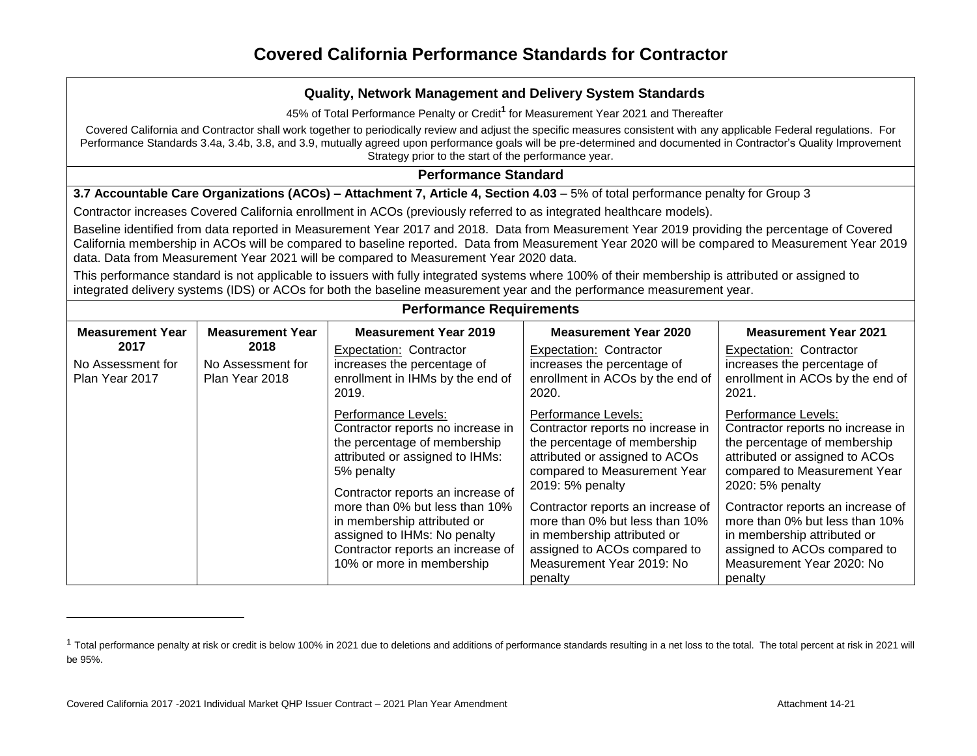45% of Total Performance Penalty or Credit**<sup>1</sup>** for Measurement Year 2021 and Thereafter

Covered California and Contractor shall work together to periodically review and adjust the specific measures consistent with any applicable Federal regulations. For Performance Standards 3.4a, 3.4b, 3.8, and 3.9, mutually agreed upon performance goals will be pre-determined and documented in Contractor's Quality Improvement Strategy prior to the start of the performance year.

### **Performance Standard**

**3.7 Accountable Care Organizations (ACOs) – Attachment 7, Article 4, Section 4.03 – 5% of total performance penalty for Group 3** 

Contractor increases Covered California enrollment in ACOs (previously referred to as integrated healthcare models).

Baseline identified from data reported in Measurement Year 2017 and 2018. Data from Measurement Year 2019 providing the percentage of Covered California membership in ACOs will be compared to baseline reported. Data from Measurement Year 2020 will be compared to Measurement Year 2019 data. Data from Measurement Year 2021 will be compared to Measurement Year 2020 data.

This performance standard is not applicable to issuers with fully integrated systems where 100% of their membership is attributed or assigned to integrated delivery systems (IDS) or ACOs for both the baseline measurement year and the performance measurement year.

| <b>Measurement Year</b>                     | <b>Measurement Year</b>                     | <b>Measurement Year 2019</b>                                                                                                                                                                                                                                                                                                                      | <b>Measurement Year 2020</b>                                                                                                                                                                                                                                                                                                                                 | <b>Measurement Year 2021</b>                                                                                                                                                                                                                                                                                                                                 |
|---------------------------------------------|---------------------------------------------|---------------------------------------------------------------------------------------------------------------------------------------------------------------------------------------------------------------------------------------------------------------------------------------------------------------------------------------------------|--------------------------------------------------------------------------------------------------------------------------------------------------------------------------------------------------------------------------------------------------------------------------------------------------------------------------------------------------------------|--------------------------------------------------------------------------------------------------------------------------------------------------------------------------------------------------------------------------------------------------------------------------------------------------------------------------------------------------------------|
| 2017<br>No Assessment for<br>Plan Year 2017 | 2018<br>No Assessment for<br>Plan Year 2018 | <b>Expectation: Contractor</b><br>increases the percentage of<br>enrollment in IHMs by the end of<br>2019.                                                                                                                                                                                                                                        | <b>Expectation: Contractor</b><br>increases the percentage of<br>enrollment in ACOs by the end of<br>2020.                                                                                                                                                                                                                                                   | <b>Expectation: Contractor</b><br>increases the percentage of<br>enrollment in ACOs by the end of<br>2021.                                                                                                                                                                                                                                                   |
|                                             |                                             | Performance Levels:<br>Contractor reports no increase in<br>the percentage of membership<br>attributed or assigned to IHMs:<br>5% penalty<br>Contractor reports an increase of<br>more than 0% but less than 10%<br>in membership attributed or<br>assigned to IHMs: No penalty<br>Contractor reports an increase of<br>10% or more in membership | Performance Levels:<br>Contractor reports no increase in<br>the percentage of membership<br>attributed or assigned to ACOs<br>compared to Measurement Year<br>2019: 5% penalty<br>Contractor reports an increase of<br>more than 0% but less than 10%<br>in membership attributed or<br>assigned to ACOs compared to<br>Measurement Year 2019: No<br>penalty | Performance Levels:<br>Contractor reports no increase in<br>the percentage of membership<br>attributed or assigned to ACOs<br>compared to Measurement Year<br>2020: 5% penalty<br>Contractor reports an increase of<br>more than 0% but less than 10%<br>in membership attributed or<br>assigned to ACOs compared to<br>Measurement Year 2020: No<br>penalty |

<sup>&</sup>lt;sup>1</sup> Total performance penalty at risk or credit is below 100% in 2021 due to deletions and additions of performance standards resulting in a net loss to the total. The total percent at risk in 2021 will be 95%.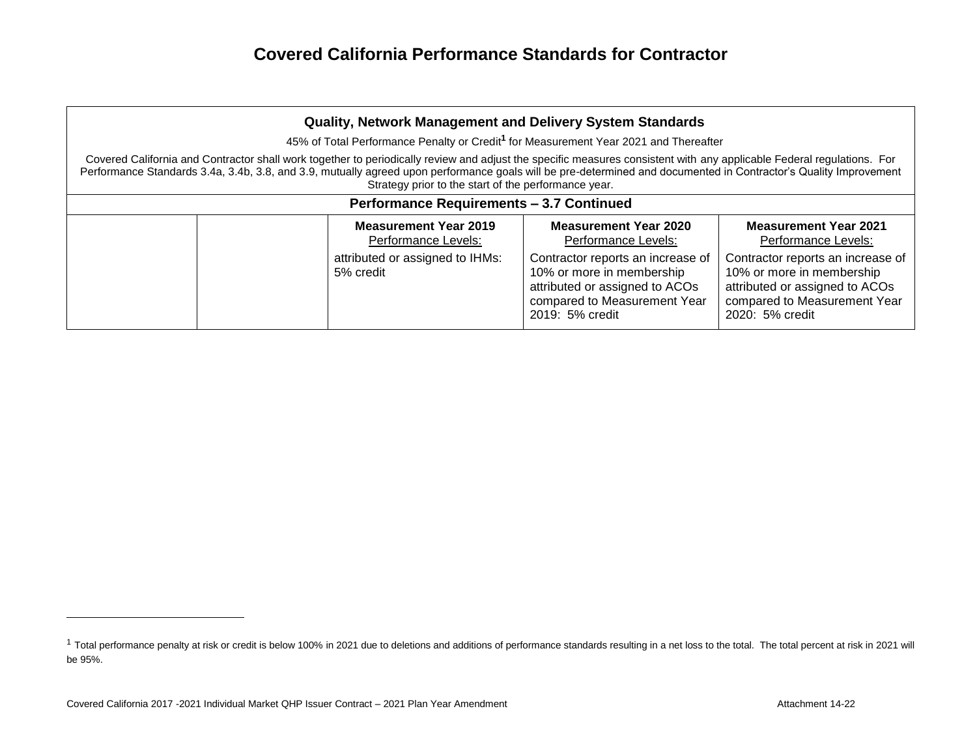| Quality, Network Management and Delivery System Standards |                                                                                                                                                                                                                                                                                                                                                                                                   |                                                     |                                                                                                                                                     |                                                                                                                                                     |  |
|-----------------------------------------------------------|---------------------------------------------------------------------------------------------------------------------------------------------------------------------------------------------------------------------------------------------------------------------------------------------------------------------------------------------------------------------------------------------------|-----------------------------------------------------|-----------------------------------------------------------------------------------------------------------------------------------------------------|-----------------------------------------------------------------------------------------------------------------------------------------------------|--|
|                                                           |                                                                                                                                                                                                                                                                                                                                                                                                   |                                                     | 45% of Total Performance Penalty or Credit <sup>1</sup> for Measurement Year 2021 and Thereafter                                                    |                                                                                                                                                     |  |
|                                                           | Covered California and Contractor shall work together to periodically review and adjust the specific measures consistent with any applicable Federal regulations. For<br>Performance Standards 3.4a, 3.4b, 3.8, and 3.9, mutually agreed upon performance goals will be pre-determined and documented in Contractor's Quality Improvement<br>Strategy prior to the start of the performance year. |                                                     |                                                                                                                                                     |                                                                                                                                                     |  |
|                                                           |                                                                                                                                                                                                                                                                                                                                                                                                   | <b>Performance Requirements - 3.7 Continued</b>     |                                                                                                                                                     |                                                                                                                                                     |  |
|                                                           |                                                                                                                                                                                                                                                                                                                                                                                                   | <b>Measurement Year 2019</b><br>Performance Levels: | Measurement Year 2020<br>Performance Levels:                                                                                                        | <b>Measurement Year 2021</b><br>Performance Levels:                                                                                                 |  |
|                                                           |                                                                                                                                                                                                                                                                                                                                                                                                   | attributed or assigned to IHMs:<br>5% credit        | Contractor reports an increase of<br>10% or more in membership<br>attributed or assigned to ACOs<br>compared to Measurement Year<br>2019: 5% credit | Contractor reports an increase of<br>10% or more in membership<br>attributed or assigned to ACOs<br>compared to Measurement Year<br>2020: 5% credit |  |

<sup>&</sup>lt;sup>1</sup> Total performance penalty at risk or credit is below 100% in 2021 due to deletions and additions of performance standards resulting in a net loss to the total. The total percent at risk in 2021 will be 95%.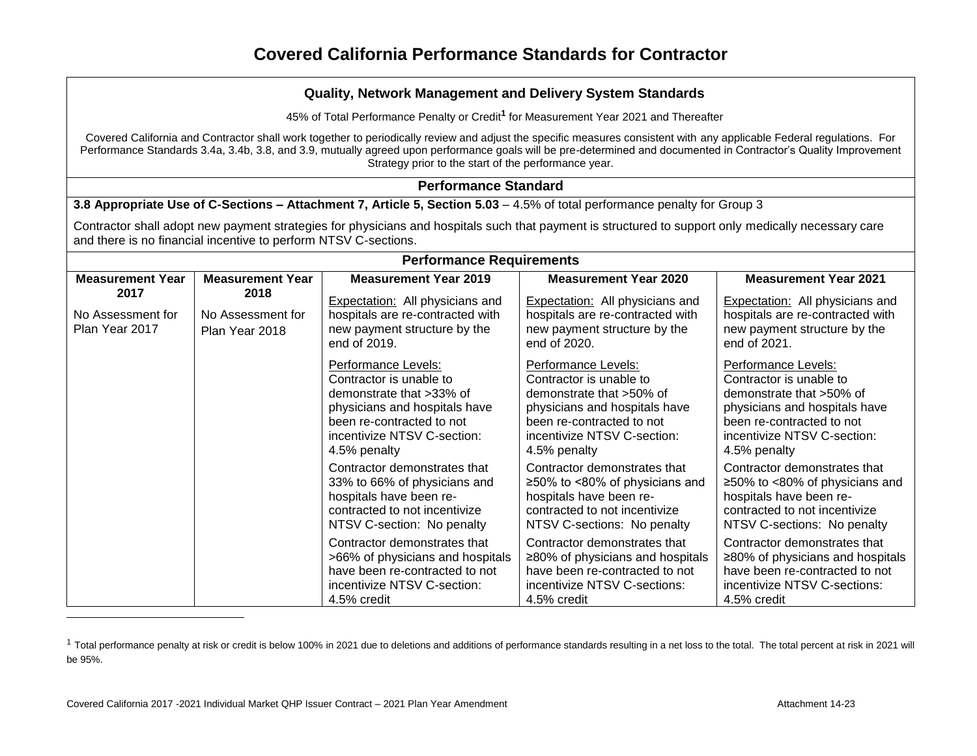45% of Total Performance Penalty or Credit**<sup>1</sup>** for Measurement Year 2021 and Thereafter

Covered California and Contractor shall work together to periodically review and adjust the specific measures consistent with any applicable Federal regulations. For Performance Standards 3.4a, 3.4b, 3.8, and 3.9, mutually agreed upon performance goals will be pre-determined and documented in Contractor's Quality Improvement Strategy prior to the start of the performance year.

### **Performance Standard**

**3.8 Appropriate Use of C-Sections – Attachment 7, Article 5, Section 5.03 – 4.5% of total performance penalty for Group 3** 

Contractor shall adopt new payment strategies for physicians and hospitals such that payment is structured to support only medically necessary care and there is no financial incentive to perform NTSV C-sections.

| <b>Performance Requirements</b>                                                            |                                                                                                                            |                                                                                                                                                                                         |                                                                                                                                                                                         |                                                                                                                                                                                         |
|--------------------------------------------------------------------------------------------|----------------------------------------------------------------------------------------------------------------------------|-----------------------------------------------------------------------------------------------------------------------------------------------------------------------------------------|-----------------------------------------------------------------------------------------------------------------------------------------------------------------------------------------|-----------------------------------------------------------------------------------------------------------------------------------------------------------------------------------------|
| <b>Measurement Year</b>                                                                    | <b>Measurement Year</b>                                                                                                    | <b>Measurement Year 2019</b>                                                                                                                                                            | <b>Measurement Year 2020</b>                                                                                                                                                            | <b>Measurement Year 2021</b>                                                                                                                                                            |
| 2017<br>2018<br>No Assessment for<br>No Assessment for<br>Plan Year 2017<br>Plan Year 2018 | <b>Expectation:</b> All physicians and<br>hospitals are re-contracted with<br>new payment structure by the<br>end of 2019. | Expectation: All physicians and<br>hospitals are re-contracted with<br>new payment structure by the<br>end of 2020.                                                                     | Expectation: All physicians and<br>hospitals are re-contracted with<br>new payment structure by the<br>end of 2021.                                                                     |                                                                                                                                                                                         |
|                                                                                            |                                                                                                                            | Performance Levels:<br>Contractor is unable to<br>demonstrate that >33% of<br>physicians and hospitals have<br>been re-contracted to not<br>incentivize NTSV C-section:<br>4.5% penalty | Performance Levels:<br>Contractor is unable to<br>demonstrate that >50% of<br>physicians and hospitals have<br>been re-contracted to not<br>incentivize NTSV C-section:<br>4.5% penalty | Performance Levels:<br>Contractor is unable to<br>demonstrate that >50% of<br>physicians and hospitals have<br>been re-contracted to not<br>incentivize NTSV C-section:<br>4.5% penalty |
|                                                                                            |                                                                                                                            | Contractor demonstrates that<br>33% to 66% of physicians and<br>hospitals have been re-<br>contracted to not incentivize<br>NTSV C-section: No penalty                                  | Contractor demonstrates that<br>$\geq$ 50% to <80% of physicians and<br>hospitals have been re-<br>contracted to not incentivize<br>NTSV C-sections: No penalty                         | Contractor demonstrates that<br>$\geq$ 50% to <80% of physicians and<br>hospitals have been re-<br>contracted to not incentivize<br>NTSV C-sections: No penalty                         |
|                                                                                            |                                                                                                                            | Contractor demonstrates that<br>>66% of physicians and hospitals<br>have been re-contracted to not<br>incentivize NTSV C-section:<br>4.5% credit                                        | Contractor demonstrates that<br>$\geq$ 80% of physicians and hospitals<br>have been re-contracted to not<br>incentivize NTSV C-sections:<br>4.5% credit                                 | Contractor demonstrates that<br>≥80% of physicians and hospitals<br>have been re-contracted to not<br>incentivize NTSV C-sections:<br>4.5% credit                                       |

<sup>&</sup>lt;sup>1</sup> Total performance penalty at risk or credit is below 100% in 2021 due to deletions and additions of performance standards resulting in a net loss to the total. The total percent at risk in 2021 will be 95%.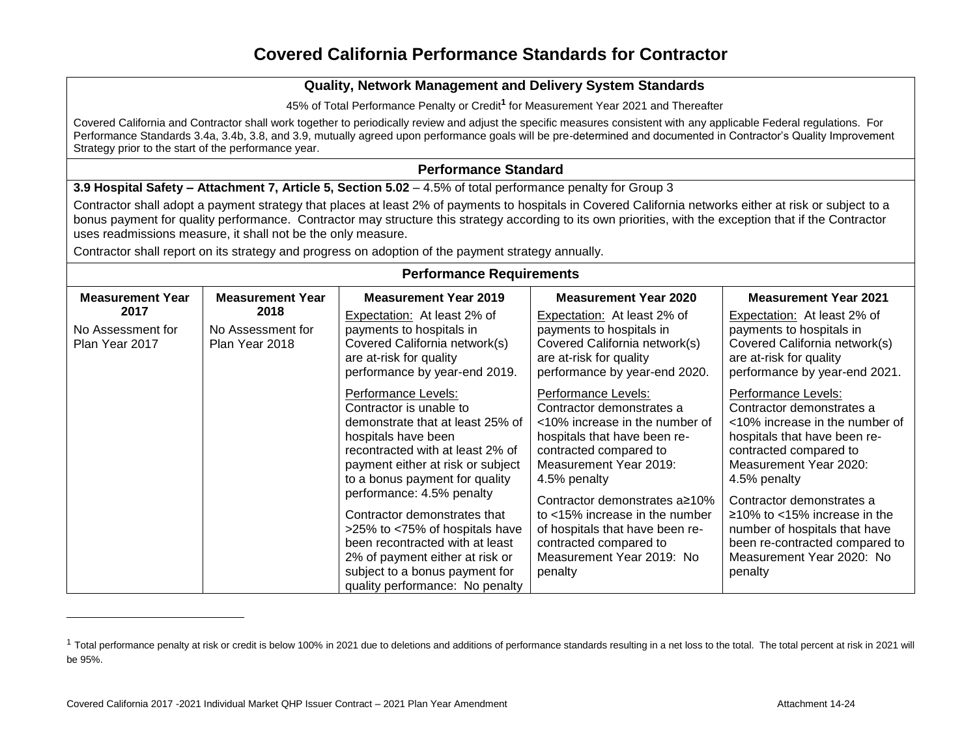### **Quality, Network Management and Delivery System Standards**

45% of Total Performance Penalty or Credit**<sup>1</sup>** for Measurement Year 2021 and Thereafter

Covered California and Contractor shall work together to periodically review and adjust the specific measures consistent with any applicable Federal regulations. For Performance Standards 3.4a, 3.4b, 3.8, and 3.9, mutually agreed upon performance goals will be pre-determined and documented in Contractor's Quality Improvement Strategy prior to the start of the performance year.

#### **Performance Standard**

**3.9 Hospital Safety – Attachment 7, Article 5, Section 5.02 – 4.5% of total performance penalty for Group 3** 

Contractor shall adopt a payment strategy that places at least 2% of payments to hospitals in Covered California networks either at risk or subject to a bonus payment for quality performance. Contractor may structure this strategy according to its own priorities, with the exception that if the Contractor uses readmissions measure, it shall not be the only measure.

Contractor shall report on its strategy and progress on adoption of the payment strategy annually.

| <b>Performance Requirements</b>     |                                     |                                                                                                           |                                                                                                                    |                                                                                                                    |
|-------------------------------------|-------------------------------------|-----------------------------------------------------------------------------------------------------------|--------------------------------------------------------------------------------------------------------------------|--------------------------------------------------------------------------------------------------------------------|
| <b>Measurement Year</b>             | <b>Measurement Year</b>             | <b>Measurement Year 2019</b>                                                                              | <b>Measurement Year 2020</b>                                                                                       | <b>Measurement Year 2021</b>                                                                                       |
| 2017                                | 2018                                | Expectation: At least 2% of                                                                               | Expectation: At least 2% of                                                                                        | Expectation: At least 2% of                                                                                        |
| No Assessment for<br>Plan Year 2017 | No Assessment for<br>Plan Year 2018 | payments to hospitals in                                                                                  | payments to hospitals in                                                                                           | payments to hospitals in                                                                                           |
|                                     |                                     | Covered California network(s)<br>are at-risk for quality                                                  | Covered California network(s)<br>are at-risk for quality                                                           | Covered California network(s)<br>are at-risk for quality                                                           |
|                                     |                                     | performance by year-end 2019.                                                                             | performance by year-end 2020.                                                                                      | performance by year-end 2021.                                                                                      |
|                                     |                                     | Performance Levels:<br>Contractor is unable to<br>demonstrate that at least 25% of<br>hospitals have been | Performance Levels:<br>Contractor demonstrates a<br><10% increase in the number of<br>hospitals that have been re- | Performance Levels:<br>Contractor demonstrates a<br><10% increase in the number of<br>hospitals that have been re- |
|                                     |                                     | recontracted with at least 2% of                                                                          | contracted compared to<br>Measurement Year 2019:                                                                   | contracted compared to<br>Measurement Year 2020:                                                                   |
|                                     |                                     | payment either at risk or subject<br>to a bonus payment for quality                                       | 4.5% penalty                                                                                                       | 4.5% penalty                                                                                                       |
|                                     |                                     | performance: 4.5% penalty                                                                                 | Contractor demonstrates a≥10%                                                                                      | Contractor demonstrates a                                                                                          |
|                                     |                                     | Contractor demonstrates that                                                                              | to $<$ 15% increase in the number                                                                                  | $\geq$ 10% to <15% increase in the                                                                                 |
|                                     |                                     | >25% to <75% of hospitals have<br>been recontracted with at least                                         | of hospitals that have been re-<br>contracted compared to                                                          | number of hospitals that have<br>been re-contracted compared to                                                    |
|                                     |                                     | 2% of payment either at risk or                                                                           | Measurement Year 2019: No                                                                                          | Measurement Year 2020: No                                                                                          |
|                                     |                                     | subject to a bonus payment for                                                                            | penalty                                                                                                            | penalty                                                                                                            |
|                                     |                                     | quality performance: No penalty                                                                           |                                                                                                                    |                                                                                                                    |

<sup>&</sup>lt;sup>1</sup> Total performance penalty at risk or credit is below 100% in 2021 due to deletions and additions of performance standards resulting in a net loss to the total. The total percent at risk in 2021 will be 95%.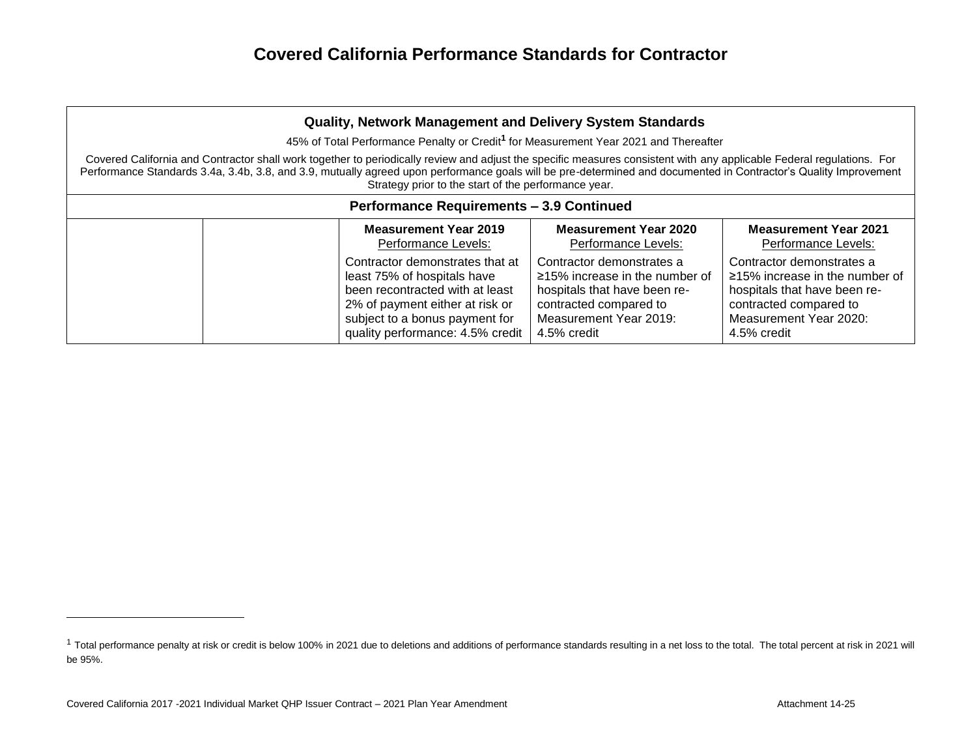| Quality, Network Management and Delivery System Standards                                                                                                                                                                                                                                                                                                                                                                                                                                             |                                                 |                                                                                                                                                                                                            |                                                                                                                                                                      |                                                                                                                                                                      |  |
|-------------------------------------------------------------------------------------------------------------------------------------------------------------------------------------------------------------------------------------------------------------------------------------------------------------------------------------------------------------------------------------------------------------------------------------------------------------------------------------------------------|-------------------------------------------------|------------------------------------------------------------------------------------------------------------------------------------------------------------------------------------------------------------|----------------------------------------------------------------------------------------------------------------------------------------------------------------------|----------------------------------------------------------------------------------------------------------------------------------------------------------------------|--|
| 45% of Total Performance Penalty or Credit <sup>1</sup> for Measurement Year 2021 and Thereafter<br>Covered California and Contractor shall work together to periodically review and adjust the specific measures consistent with any applicable Federal regulations. For<br>Performance Standards 3.4a, 3.4b, 3.8, and 3.9, mutually agreed upon performance goals will be pre-determined and documented in Contractor's Quality Improvement<br>Strategy prior to the start of the performance year. |                                                 |                                                                                                                                                                                                            |                                                                                                                                                                      |                                                                                                                                                                      |  |
|                                                                                                                                                                                                                                                                                                                                                                                                                                                                                                       | <b>Performance Requirements - 3.9 Continued</b> |                                                                                                                                                                                                            |                                                                                                                                                                      |                                                                                                                                                                      |  |
|                                                                                                                                                                                                                                                                                                                                                                                                                                                                                                       |                                                 | <b>Measurement Year 2019</b><br>Performance Levels:                                                                                                                                                        | <b>Measurement Year 2020</b><br>Performance Levels:                                                                                                                  | <b>Measurement Year 2021</b><br>Performance Levels:                                                                                                                  |  |
|                                                                                                                                                                                                                                                                                                                                                                                                                                                                                                       |                                                 | Contractor demonstrates that at<br>least 75% of hospitals have<br>been recontracted with at least<br>2% of payment either at risk or<br>subject to a bonus payment for<br>quality performance: 4.5% credit | Contractor demonstrates a<br>$\geq$ 15% increase in the number of<br>hospitals that have been re-<br>contracted compared to<br>Measurement Year 2019:<br>4.5% credit | Contractor demonstrates a<br>$\geq$ 15% increase in the number of<br>hospitals that have been re-<br>contracted compared to<br>Measurement Year 2020:<br>4.5% credit |  |

<sup>&</sup>lt;sup>1</sup> Total performance penalty at risk or credit is below 100% in 2021 due to deletions and additions of performance standards resulting in a net loss to the total. The total percent at risk in 2021 will be 95%.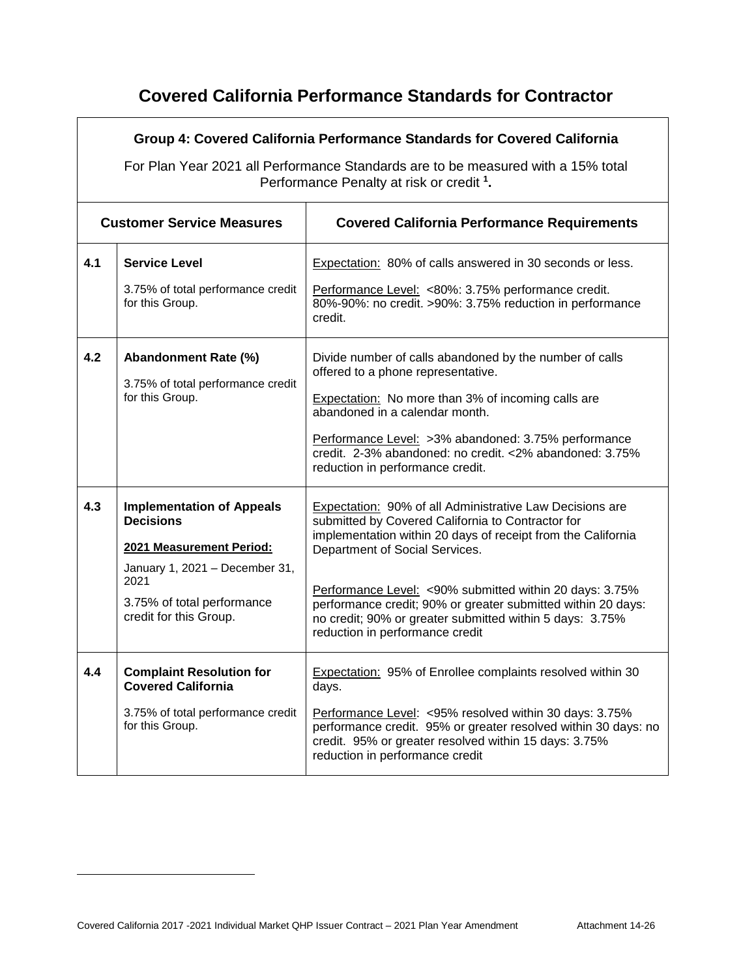|     | Group 4: Covered California Performance Standards for Covered California<br>For Plan Year 2021 all Performance Standards are to be measured with a 15% total<br>Performance Penalty at risk or credit <sup>1</sup> . |                                                                                                                                                                                                                                                                                                                                                                                                                                           |  |  |
|-----|----------------------------------------------------------------------------------------------------------------------------------------------------------------------------------------------------------------------|-------------------------------------------------------------------------------------------------------------------------------------------------------------------------------------------------------------------------------------------------------------------------------------------------------------------------------------------------------------------------------------------------------------------------------------------|--|--|
|     | <b>Customer Service Measures</b>                                                                                                                                                                                     | <b>Covered California Performance Requirements</b>                                                                                                                                                                                                                                                                                                                                                                                        |  |  |
| 4.1 | <b>Service Level</b><br>3.75% of total performance credit<br>for this Group.                                                                                                                                         | Expectation: 80% of calls answered in 30 seconds or less.<br>Performance Level: <80%: 3.75% performance credit.<br>80%-90%: no credit. >90%: 3.75% reduction in performance<br>credit.                                                                                                                                                                                                                                                    |  |  |
| 4.2 | Abandonment Rate (%)<br>3.75% of total performance credit<br>for this Group.                                                                                                                                         | Divide number of calls abandoned by the number of calls<br>offered to a phone representative.<br><b>Expectation:</b> No more than 3% of incoming calls are<br>abandoned in a calendar month.<br>Performance Level: >3% abandoned: 3.75% performance<br>credit. 2-3% abandoned: no credit. <2% abandoned: 3.75%<br>reduction in performance credit.                                                                                        |  |  |
| 4.3 | <b>Implementation of Appeals</b><br><b>Decisions</b><br>2021 Measurement Period:<br>January 1, 2021 - December 31,<br>2021<br>3.75% of total performance<br>credit for this Group.                                   | Expectation: 90% of all Administrative Law Decisions are<br>submitted by Covered California to Contractor for<br>implementation within 20 days of receipt from the California<br>Department of Social Services.<br>Performance Level: <90% submitted within 20 days: 3.75%<br>performance credit; 90% or greater submitted within 20 days:<br>no credit; 90% or greater submitted within 5 days: 3.75%<br>reduction in performance credit |  |  |
| 4.4 | <b>Complaint Resolution for</b><br><b>Covered California</b><br>3.75% of total performance credit<br>for this Group.                                                                                                 | <b>Expectation: 95% of Enrollee complaints resolved within 30</b><br>days.<br>Performance Level: < 95% resolved within 30 days: 3.75%<br>performance credit. 95% or greater resolved within 30 days: no<br>credit. 95% or greater resolved within 15 days: 3.75%<br>reduction in performance credit                                                                                                                                       |  |  |

 $\overline{a}$ 

 $\mathbf{r}$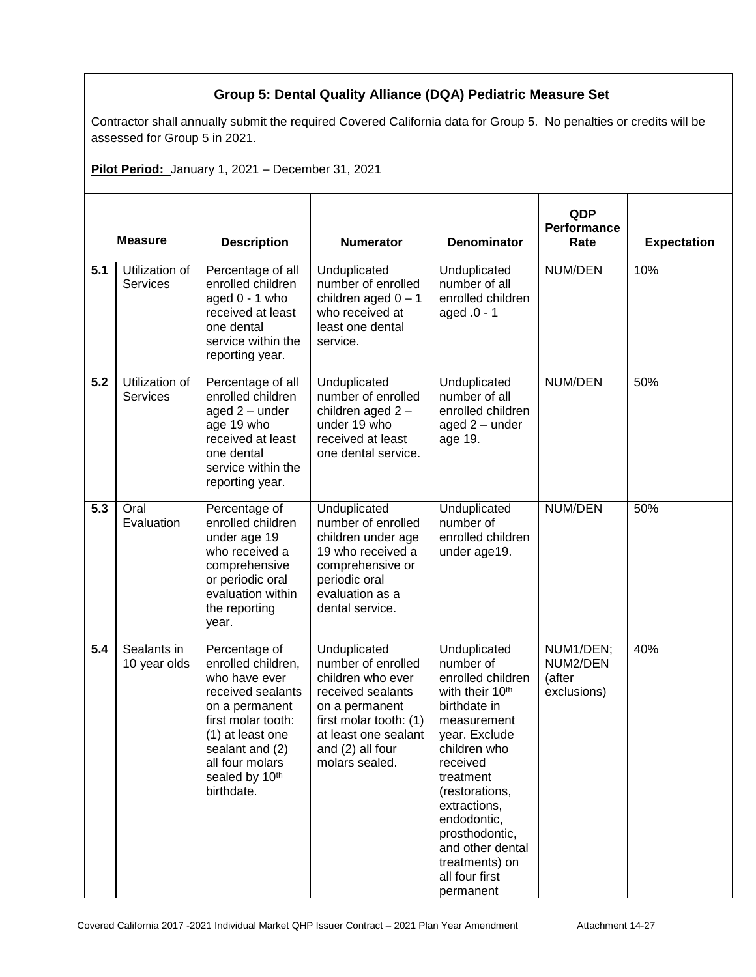### **Group 5: Dental Quality Alliance (DQA) Pediatric Measure Set**

Contractor shall annually submit the required Covered California data for Group 5. No penalties or credits will be assessed for Group 5 in 2021.

**Pilot Period:** January 1, 2021 – December 31, 2021

| <b>Measure</b> |                                   | <b>Description</b>                                                                                                                                                                                          | <b>Numerator</b>                                                                                                                                                                       | <b>Denominator</b>                                                                                                                                                                                                                                                                                             | QDP<br>Performance<br>Rate                     | <b>Expectation</b> |
|----------------|-----------------------------------|-------------------------------------------------------------------------------------------------------------------------------------------------------------------------------------------------------------|----------------------------------------------------------------------------------------------------------------------------------------------------------------------------------------|----------------------------------------------------------------------------------------------------------------------------------------------------------------------------------------------------------------------------------------------------------------------------------------------------------------|------------------------------------------------|--------------------|
| 5.1            | Utilization of<br>Services        | Percentage of all<br>enrolled children<br>aged $0 - 1$ who<br>received at least<br>one dental<br>service within the<br>reporting year.                                                                      | Unduplicated<br>number of enrolled<br>children aged $0 - 1$<br>who received at<br>least one dental<br>service.                                                                         | Unduplicated<br>number of all<br>enrolled children<br>aged .0 - 1                                                                                                                                                                                                                                              | NUM/DEN                                        | 10%                |
| 5.2            | Utilization of<br><b>Services</b> | Percentage of all<br>enrolled children<br>aged $2$ – under<br>age 19 who<br>received at least<br>one dental<br>service within the<br>reporting year.                                                        | Unduplicated<br>number of enrolled<br>children aged 2-<br>under 19 who<br>received at least<br>one dental service.                                                                     | Unduplicated<br>number of all<br>enrolled children<br>aged 2 - under<br>age 19.                                                                                                                                                                                                                                | NUM/DEN                                        | 50%                |
| 5.3            | Oral<br>Evaluation                | Percentage of<br>enrolled children<br>under age 19<br>who received a<br>comprehensive<br>or periodic oral<br>evaluation within<br>the reporting<br>year.                                                    | Unduplicated<br>number of enrolled<br>children under age<br>19 who received a<br>comprehensive or<br>periodic oral<br>evaluation as a<br>dental service.                               | Unduplicated<br>number of<br>enrolled children<br>under age19.                                                                                                                                                                                                                                                 | NUM/DEN                                        | 50%                |
| 5.4            | Sealants in<br>10 year olds       | Percentage of<br>enrolled children,<br>who have ever<br>received sealants<br>on a permanent<br>first molar tooth:<br>(1) at least one<br>sealant and (2)<br>all four molars<br>sealed by 10th<br>birthdate. | Unduplicated<br>number of enrolled<br>children who ever<br>received sealants<br>on a permanent<br>first molar tooth: (1)<br>at least one sealant<br>and (2) all four<br>molars sealed. | Unduplicated<br>number of<br>enrolled children<br>with their 10 <sup>th</sup><br>birthdate in<br>measurement<br>year. Exclude<br>children who<br>received<br>treatment<br>(restorations,<br>extractions,<br>endodontic,<br>prosthodontic,<br>and other dental<br>treatments) on<br>all four first<br>permanent | NUM1/DEN;<br>NUM2/DEN<br>(after<br>exclusions) | 40%                |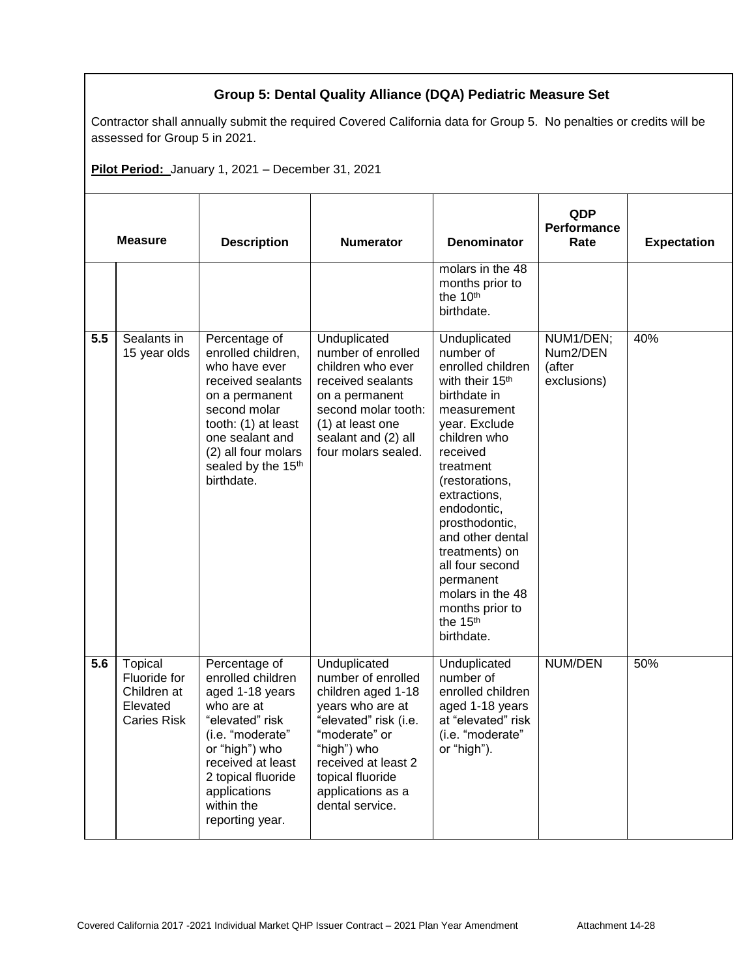### **Group 5: Dental Quality Alliance (DQA) Pediatric Measure Set**

Contractor shall annually submit the required Covered California data for Group 5. No penalties or credits will be assessed for Group 5 in 2021.

**Pilot Period:** January 1, 2021 – December 31, 2021

| <b>Measure</b> |                                                                          | <b>Description</b>                                                                                                                                                                                                           | <b>Numerator</b>                                                                                                                                                                                                         | <b>Denominator</b>                                                                                                                                                                                                                                                                                                                                                               | QDP<br>Performance<br>Rate                     | <b>Expectation</b> |
|----------------|--------------------------------------------------------------------------|------------------------------------------------------------------------------------------------------------------------------------------------------------------------------------------------------------------------------|--------------------------------------------------------------------------------------------------------------------------------------------------------------------------------------------------------------------------|----------------------------------------------------------------------------------------------------------------------------------------------------------------------------------------------------------------------------------------------------------------------------------------------------------------------------------------------------------------------------------|------------------------------------------------|--------------------|
|                |                                                                          |                                                                                                                                                                                                                              |                                                                                                                                                                                                                          | molars in the 48<br>months prior to<br>the 10th<br>birthdate.                                                                                                                                                                                                                                                                                                                    |                                                |                    |
| 5.5            | Sealants in<br>15 year olds                                              | Percentage of<br>enrolled children,<br>who have ever<br>received sealants<br>on a permanent<br>second molar<br>tooth: (1) at least<br>one sealant and<br>(2) all four molars<br>sealed by the 15 <sup>th</sup><br>birthdate. | Unduplicated<br>number of enrolled<br>children who ever<br>received sealants<br>on a permanent<br>second molar tooth:<br>(1) at least one<br>sealant and (2) all<br>four molars sealed.                                  | Unduplicated<br>number of<br>enrolled children<br>with their 15 <sup>th</sup><br>birthdate in<br>measurement<br>year. Exclude<br>children who<br>received<br>treatment<br>(restorations,<br>extractions,<br>endodontic,<br>prosthodontic,<br>and other dental<br>treatments) on<br>all four second<br>permanent<br>molars in the 48<br>months prior to<br>the 15th<br>birthdate. | NUM1/DEN;<br>Num2/DEN<br>(after<br>exclusions) | 40%                |
| 5.6            | Topical<br>Fluoride for<br>Children at<br>Elevated<br><b>Caries Risk</b> | Percentage of<br>enrolled children<br>aged 1-18 years<br>who are at<br>"elevated" risk<br>(i.e. "moderate"<br>or "high") who<br>received at least<br>2 topical fluoride<br>applications<br>within the<br>reporting year.     | Unduplicated<br>number of enrolled<br>children aged 1-18<br>years who are at<br>"elevated" risk (i.e.<br>"moderate" or<br>"high") who<br>received at least 2<br>topical fluoride<br>applications as a<br>dental service. | Unduplicated<br>number of<br>enrolled children<br>aged 1-18 years<br>at "elevated" risk<br>(i.e. "moderate"<br>or "high").                                                                                                                                                                                                                                                       | NUM/DEN                                        | 50%                |